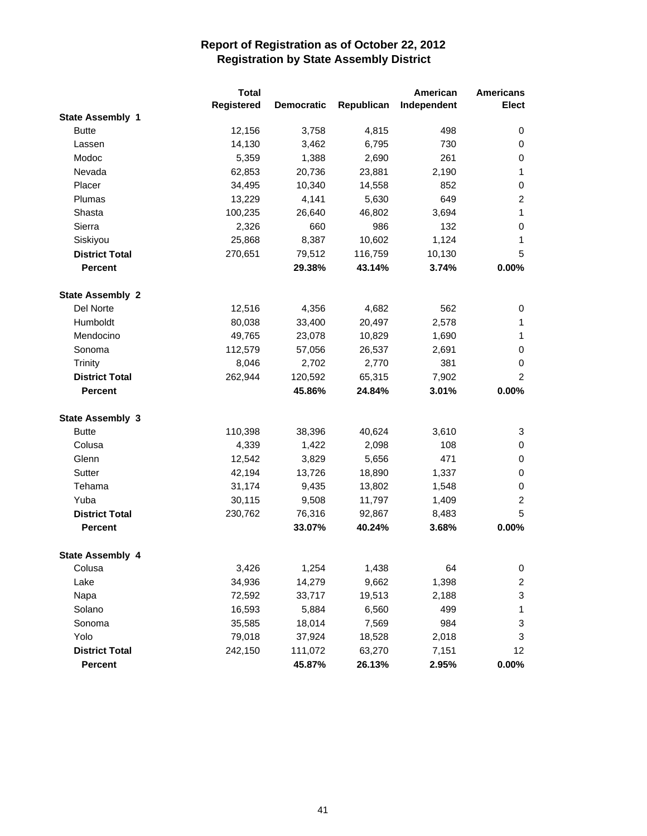|                         | <b>Total</b> |                   |            | American    | <b>Americans</b>        |
|-------------------------|--------------|-------------------|------------|-------------|-------------------------|
|                         | Registered   | <b>Democratic</b> | Republican | Independent | <b>Elect</b>            |
| <b>State Assembly 1</b> |              |                   |            |             |                         |
| <b>Butte</b>            | 12,156       | 3,758             | 4,815      | 498         | 0                       |
| Lassen                  | 14,130       | 3,462             | 6,795      | 730         | 0                       |
| Modoc                   | 5,359        | 1,388             | 2,690      | 261         | 0                       |
| Nevada                  | 62,853       | 20,736            | 23,881     | 2,190       | 1                       |
| Placer                  | 34,495       | 10,340            | 14,558     | 852         | 0                       |
| Plumas                  | 13,229       | 4,141             | 5,630      | 649         | $\overline{c}$          |
| Shasta                  | 100,235      | 26,640            | 46,802     | 3,694       | $\mathbf{1}$            |
| Sierra                  | 2,326        | 660               | 986        | 132         | 0                       |
| Siskiyou                | 25,868       | 8,387             | 10,602     | 1,124       | 1                       |
| <b>District Total</b>   | 270,651      | 79,512            | 116,759    | 10,130      | 5                       |
| <b>Percent</b>          |              | 29.38%            | 43.14%     | 3.74%       | 0.00%                   |
| <b>State Assembly 2</b> |              |                   |            |             |                         |
| Del Norte               | 12,516       | 4,356             | 4,682      | 562         | 0                       |
| Humboldt                | 80,038       | 33,400            | 20,497     | 2,578       | 1                       |
| Mendocino               | 49,765       | 23,078            | 10,829     | 1,690       | 1                       |
| Sonoma                  | 112,579      | 57,056            | 26,537     | 2,691       | 0                       |
| <b>Trinity</b>          | 8,046        | 2,702             | 2,770      | 381         | 0                       |
| <b>District Total</b>   | 262,944      | 120,592           | 65,315     | 7,902       | $\overline{c}$          |
| <b>Percent</b>          |              | 45.86%            | 24.84%     | 3.01%       | 0.00%                   |
|                         |              |                   |            |             |                         |
| <b>State Assembly 3</b> |              |                   |            |             |                         |
| <b>Butte</b>            | 110,398      | 38,396            | 40,624     | 3,610       | 3                       |
| Colusa                  | 4,339        | 1,422             | 2,098      | 108         | 0                       |
| Glenn                   | 12,542       | 3,829             | 5,656      | 471         | 0                       |
| Sutter                  | 42,194       | 13,726            | 18,890     | 1,337       | 0                       |
| Tehama                  | 31,174       | 9,435             | 13,802     | 1,548       | 0                       |
| Yuba                    | 30,115       | 9,508             | 11,797     | 1,409       | 2                       |
| <b>District Total</b>   | 230,762      | 76,316            | 92,867     | 8,483       | 5                       |
| <b>Percent</b>          |              | 33.07%            | 40.24%     | 3.68%       | 0.00%                   |
| <b>State Assembly 4</b> |              |                   |            |             |                         |
| Colusa                  | 3,426        | 1,254             | 1,438      | 64          | 0                       |
| Lake                    | 34,936       | 14,279            | 9,662      | 1,398       | $\overline{\mathbf{c}}$ |
| Napa                    | 72,592       | 33,717            | 19,513     | 2,188       | 3                       |
| Solano                  | 16,593       | 5,884             | 6,560      | 499         | 1                       |
| Sonoma                  | 35,585       | 18,014            | 7,569      | 984         | 3                       |
| Yolo                    | 79,018       | 37,924            | 18,528     | 2,018       | 3                       |
| <b>District Total</b>   | 242,150      | 111,072           | 63,270     | 7,151       | 12                      |
| Percent                 |              | 45.87%            | 26.13%     | 2.95%       | $0.00\%$                |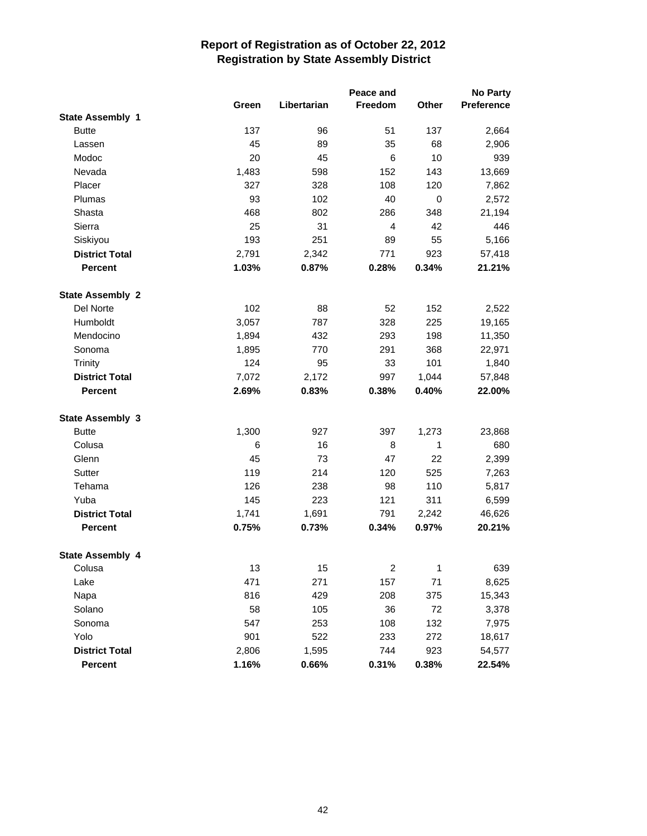|                         |       |             | Peace and               |              | <b>No Party</b> |
|-------------------------|-------|-------------|-------------------------|--------------|-----------------|
|                         | Green | Libertarian | Freedom                 | Other        | Preference      |
| <b>State Assembly 1</b> |       |             |                         |              |                 |
| <b>Butte</b>            | 137   | 96          | 51                      | 137          | 2,664           |
| Lassen                  | 45    | 89          | 35                      | 68           | 2,906           |
| Modoc                   | 20    | 45          | 6                       | 10           | 939             |
| Nevada                  | 1,483 | 598         | 152                     | 143          | 13,669          |
| Placer                  | 327   | 328         | 108                     | 120          | 7,862           |
| Plumas                  | 93    | 102         | 40                      | $\mathbf 0$  | 2,572           |
| Shasta                  | 468   | 802         | 286                     | 348          | 21,194          |
| Sierra                  | 25    | 31          | $\overline{4}$          | 42           | 446             |
| Siskiyou                | 193   | 251         | 89                      | 55           | 5,166           |
| <b>District Total</b>   | 2,791 | 2,342       | 771                     | 923          | 57,418          |
| <b>Percent</b>          | 1.03% | 0.87%       | 0.28%                   | 0.34%        | 21.21%          |
| <b>State Assembly 2</b> |       |             |                         |              |                 |
| Del Norte               | 102   | 88          | 52                      | 152          | 2,522           |
| Humboldt                | 3,057 | 787         | 328                     | 225          | 19,165          |
| Mendocino               | 1,894 | 432         | 293                     | 198          | 11,350          |
| Sonoma                  | 1,895 | 770         | 291                     | 368          | 22,971          |
| Trinity                 | 124   | 95          | 33                      | 101          | 1,840           |
| <b>District Total</b>   | 7,072 | 2,172       | 997                     | 1,044        | 57,848          |
| <b>Percent</b>          | 2.69% | 0.83%       | 0.38%                   | 0.40%        | 22.00%          |
| <b>State Assembly 3</b> |       |             |                         |              |                 |
| <b>Butte</b>            | 1,300 | 927         | 397                     | 1,273        | 23,868          |
| Colusa                  | 6     | 16          | 8                       | 1            | 680             |
| Glenn                   | 45    | 73          | 47                      | 22           | 2,399           |
| Sutter                  | 119   | 214         | 120                     | 525          | 7,263           |
| Tehama                  | 126   | 238         | 98                      | 110          | 5,817           |
| Yuba                    | 145   | 223         | 121                     | 311          | 6,599           |
| <b>District Total</b>   | 1,741 | 1,691       | 791                     | 2,242        | 46,626          |
| <b>Percent</b>          | 0.75% | 0.73%       | 0.34%                   | 0.97%        | 20.21%          |
| <b>State Assembly 4</b> |       |             |                         |              |                 |
| Colusa                  | 13    | 15          | $\overline{\mathbf{c}}$ | $\mathbf{1}$ | 639             |
| Lake                    | 471   | 271         | 157                     | 71           | 8,625           |
| Napa                    | 816   | 429         | 208                     | 375          | 15,343          |
| Solano                  | 58    | 105         | 36                      | 72           | 3,378           |
| Sonoma                  | 547   | 253         | 108                     | 132          | 7,975           |
| Yolo                    | 901   | 522         | 233                     | 272          | 18,617          |
| <b>District Total</b>   | 2,806 | 1,595       | 744                     | 923          | 54,577          |
| Percent                 | 1.16% | 0.66%       | 0.31%                   | 0.38%        | 22.54%          |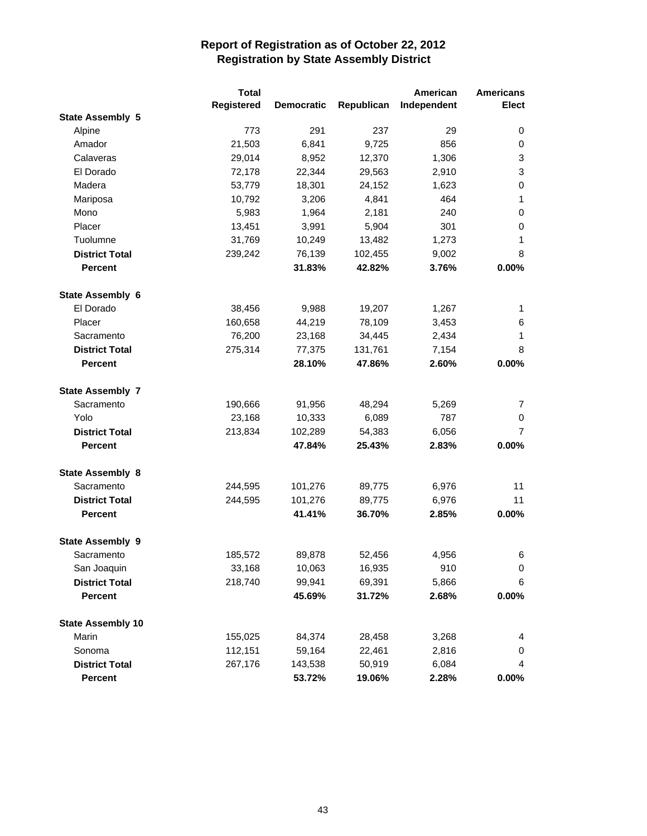|                          | <b>Total</b> |                   |            | American    | <b>Americans</b> |
|--------------------------|--------------|-------------------|------------|-------------|------------------|
|                          | Registered   | <b>Democratic</b> | Republican | Independent | <b>Elect</b>     |
| <b>State Assembly 5</b>  |              |                   |            |             |                  |
| Alpine                   | 773          | 291               | 237        | 29          | 0                |
| Amador                   | 21,503       | 6,841             | 9,725      | 856         | 0                |
| Calaveras                | 29,014       | 8,952             | 12,370     | 1,306       | 3                |
| El Dorado                | 72,178       | 22,344            | 29,563     | 2,910       | 3                |
| Madera                   | 53,779       | 18,301            | 24,152     | 1,623       | 0                |
| Mariposa                 | 10,792       | 3,206             | 4,841      | 464         | 1                |
| Mono                     | 5,983        | 1,964             | 2,181      | 240         | 0                |
| Placer                   | 13,451       | 3,991             | 5,904      | 301         | 0                |
| Tuolumne                 | 31,769       | 10,249            | 13,482     | 1,273       | 1                |
| <b>District Total</b>    | 239,242      | 76,139            | 102,455    | 9,002       | 8                |
| <b>Percent</b>           |              | 31.83%            | 42.82%     | 3.76%       | 0.00%            |
| State Assembly 6         |              |                   |            |             |                  |
| El Dorado                | 38,456       | 9,988             | 19,207     | 1,267       | 1                |
| Placer                   | 160,658      | 44,219            | 78,109     | 3,453       | 6                |
| Sacramento               | 76,200       | 23,168            | 34,445     | 2,434       | 1                |
| <b>District Total</b>    | 275,314      | 77,375            | 131,761    | 7,154       | 8                |
| <b>Percent</b>           |              | 28.10%            | 47.86%     | 2.60%       | 0.00%            |
| <b>State Assembly 7</b>  |              |                   |            |             |                  |
| Sacramento               | 190,666      | 91,956            | 48,294     | 5,269       | 7                |
| Yolo                     | 23,168       | 10,333            | 6,089      | 787         | 0                |
| <b>District Total</b>    | 213,834      | 102,289           | 54,383     | 6,056       | 7                |
| <b>Percent</b>           |              | 47.84%            | 25.43%     | 2.83%       | 0.00%            |
| <b>State Assembly 8</b>  |              |                   |            |             |                  |
| Sacramento               | 244,595      | 101,276           | 89,775     | 6,976       | 11               |
| <b>District Total</b>    | 244,595      | 101,276           | 89,775     | 6,976       | 11               |
| <b>Percent</b>           |              | 41.41%            | 36.70%     | 2.85%       | $0.00\%$         |
| <b>State Assembly 9</b>  |              |                   |            |             |                  |
| Sacramento               | 185,572      | 89,878            | 52,456     | 4,956       | 6                |
| San Joaquin              | 33,168       | 10,063            | 16,935     | 910         | 0                |
| <b>District Total</b>    | 218,740      | 99,941            | 69,391     | 5,866       | 6                |
| <b>Percent</b>           |              | 45.69%            | 31.72%     | 2.68%       | $0.00\%$         |
| <b>State Assembly 10</b> |              |                   |            |             |                  |
| Marin                    | 155,025      | 84,374            | 28,458     | 3,268       | 4                |
| Sonoma                   | 112,151      | 59,164            | 22,461     | 2,816       | 0                |
| <b>District Total</b>    | 267,176      | 143,538           | 50,919     | 6,084       | 4                |
| Percent                  |              | 53.72%            | 19.06%     | 2.28%       | $0.00\%$         |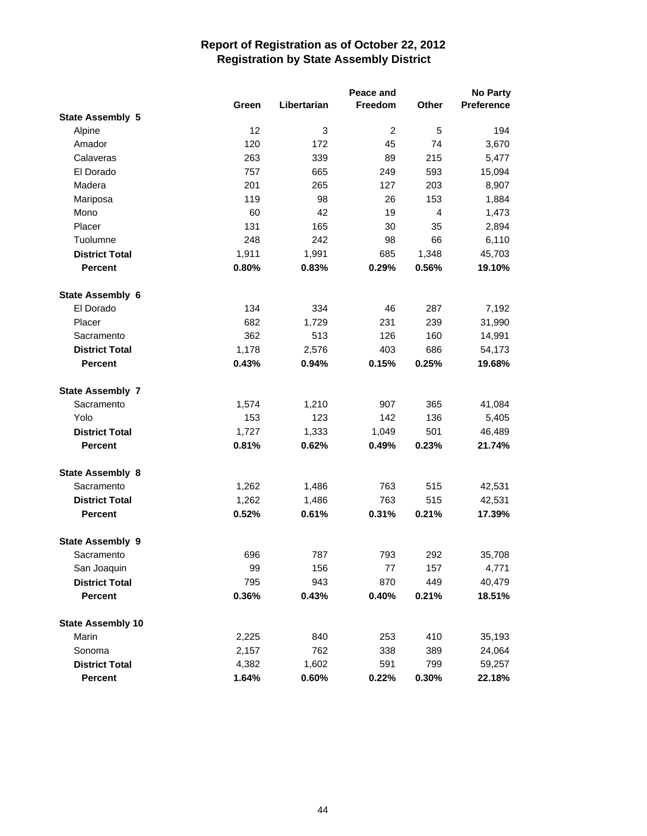|                          |       |             | Peace and      |                | <b>No Party</b>   |
|--------------------------|-------|-------------|----------------|----------------|-------------------|
|                          | Green | Libertarian | Freedom        | Other          | <b>Preference</b> |
| <b>State Assembly 5</b>  |       |             |                |                |                   |
| Alpine                   | 12    | 3           | $\overline{c}$ | 5              | 194               |
| Amador                   | 120   | 172         | 45             | 74             | 3,670             |
| Calaveras                | 263   | 339         | 89             | 215            | 5,477             |
| El Dorado                | 757   | 665         | 249            | 593            | 15,094            |
| Madera                   | 201   | 265         | 127            | 203            | 8,907             |
| Mariposa                 | 119   | 98          | 26             | 153            | 1,884             |
| Mono                     | 60    | 42          | 19             | $\overline{4}$ | 1,473             |
| Placer                   | 131   | 165         | 30             | 35             | 2,894             |
| Tuolumne                 | 248   | 242         | 98             | 66             | 6,110             |
| <b>District Total</b>    | 1,911 | 1,991       | 685            | 1,348          | 45,703            |
| <b>Percent</b>           | 0.80% | 0.83%       | 0.29%          | 0.56%          | 19.10%            |
| State Assembly 6         |       |             |                |                |                   |
| El Dorado                | 134   | 334         | 46             | 287            | 7,192             |
| Placer                   | 682   | 1,729       | 231            | 239            | 31,990            |
| Sacramento               | 362   | 513         | 126            | 160            | 14,991            |
| <b>District Total</b>    | 1,178 | 2,576       | 403            | 686            | 54,173            |
| <b>Percent</b>           | 0.43% | 0.94%       | 0.15%          | 0.25%          | 19.68%            |
| <b>State Assembly 7</b>  |       |             |                |                |                   |
| Sacramento               | 1,574 | 1,210       | 907            | 365            | 41,084            |
| Yolo                     | 153   | 123         | 142            | 136            | 5,405             |
| <b>District Total</b>    | 1,727 | 1,333       | 1,049          | 501            | 46,489            |
| <b>Percent</b>           | 0.81% | 0.62%       | 0.49%          | 0.23%          | 21.74%            |
| <b>State Assembly 8</b>  |       |             |                |                |                   |
| Sacramento               | 1,262 | 1,486       | 763            | 515            | 42,531            |
| <b>District Total</b>    | 1,262 | 1,486       | 763            | 515            | 42,531            |
| <b>Percent</b>           | 0.52% | 0.61%       | 0.31%          | 0.21%          | 17.39%            |
| <b>State Assembly 9</b>  |       |             |                |                |                   |
| Sacramento               | 696   | 787         | 793            | 292            | 35,708            |
| San Joaquin              | 99    | 156         | 77             | 157            | 4,771             |
| <b>District Total</b>    | 795   | 943         | 870            | 449            | 40,479            |
| <b>Percent</b>           | 0.36% | 0.43%       | 0.40%          | 0.21%          | 18.51%            |
| <b>State Assembly 10</b> |       |             |                |                |                   |
| Marin                    | 2,225 | 840         | 253            | 410            | 35,193            |
| Sonoma                   | 2,157 | 762         | 338            | 389            | 24,064            |
| <b>District Total</b>    | 4,382 | 1,602       | 591            | 799            | 59,257            |
| Percent                  | 1.64% | 0.60%       | 0.22%          | 0.30%          | 22.18%            |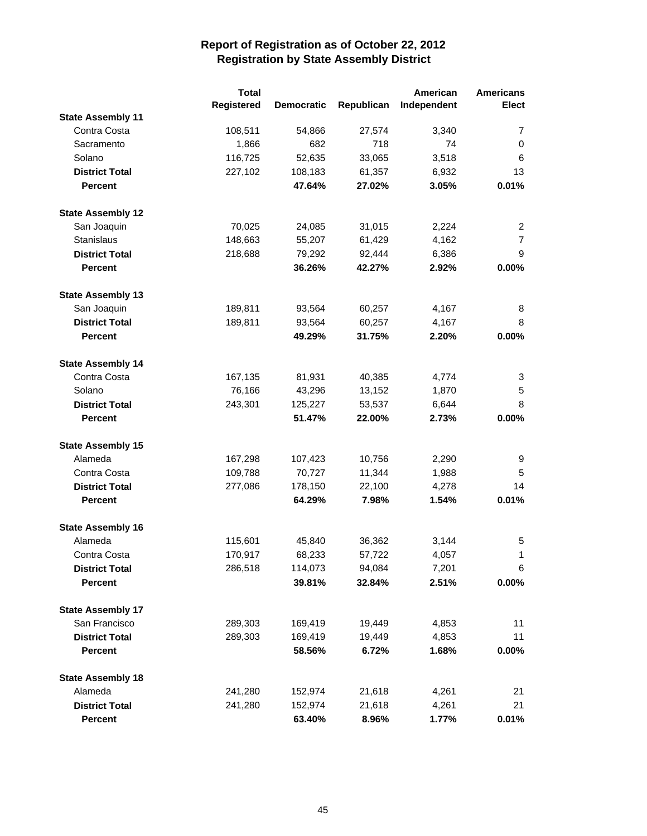|                          | <b>Total</b> |                   |            | American    | <b>Americans</b> |
|--------------------------|--------------|-------------------|------------|-------------|------------------|
|                          | Registered   | <b>Democratic</b> | Republican | Independent | <b>Elect</b>     |
| <b>State Assembly 11</b> |              |                   |            |             |                  |
| Contra Costa             | 108,511      | 54,866            | 27,574     | 3,340       | 7                |
| Sacramento               | 1,866        | 682               | 718        | 74          | 0                |
| Solano                   | 116,725      | 52,635            | 33,065     | 3,518       | 6                |
| <b>District Total</b>    | 227,102      | 108,183           | 61,357     | 6,932       | 13               |
| <b>Percent</b>           |              | 47.64%            | 27.02%     | 3.05%       | 0.01%            |
| <b>State Assembly 12</b> |              |                   |            |             |                  |
| San Joaquin              | 70,025       | 24,085            | 31,015     | 2,224       | 2                |
| Stanislaus               | 148,663      | 55,207            | 61,429     | 4,162       | $\overline{7}$   |
| <b>District Total</b>    | 218,688      | 79,292            | 92,444     | 6,386       | 9                |
| <b>Percent</b>           |              | 36.26%            | 42.27%     | 2.92%       | 0.00%            |
| <b>State Assembly 13</b> |              |                   |            |             |                  |
| San Joaquin              | 189,811      | 93,564            | 60,257     | 4,167       | 8                |
| <b>District Total</b>    | 189,811      | 93,564            | 60,257     | 4,167       | 8                |
| <b>Percent</b>           |              | 49.29%            | 31.75%     | 2.20%       | 0.00%            |
| <b>State Assembly 14</b> |              |                   |            |             |                  |
| Contra Costa             | 167,135      | 81,931            | 40,385     | 4,774       | 3                |
| Solano                   | 76,166       | 43,296            | 13,152     | 1,870       | 5                |
| <b>District Total</b>    | 243,301      | 125,227           | 53,537     | 6,644       | 8                |
| <b>Percent</b>           |              | 51.47%            | 22.00%     | 2.73%       | 0.00%            |
| <b>State Assembly 15</b> |              |                   |            |             |                  |
| Alameda                  | 167,298      | 107,423           | 10,756     | 2,290       | 9                |
| Contra Costa             | 109,788      | 70,727            | 11,344     | 1,988       | 5                |
| <b>District Total</b>    | 277,086      | 178,150           | 22,100     | 4,278       | 14               |
| <b>Percent</b>           |              | 64.29%            | 7.98%      | 1.54%       | 0.01%            |
| <b>State Assembly 16</b> |              |                   |            |             |                  |
| Alameda                  | 115,601      | 45,840            | 36,362     | 3,144       | 5                |
| Contra Costa             | 170,917      | 68,233            | 57,722     | 4,057       | 1                |
| <b>District Total</b>    | 286,518      | 114,073           | 94,084     | 7,201       | 6                |
| <b>Percent</b>           |              | 39.81%            | 32.84%     | 2.51%       | $0.00\%$         |
| <b>State Assembly 17</b> |              |                   |            |             |                  |
| San Francisco            | 289,303      | 169,419           | 19,449     | 4,853       | 11               |
| <b>District Total</b>    | 289,303      | 169,419           | 19,449     | 4,853       | 11               |
| <b>Percent</b>           |              | 58.56%            | 6.72%      | 1.68%       | $0.00\%$         |
| <b>State Assembly 18</b> |              |                   |            |             |                  |
| Alameda                  | 241,280      | 152,974           | 21,618     | 4,261       | 21               |
| <b>District Total</b>    | 241,280      | 152,974           | 21,618     | 4,261       | 21               |
| Percent                  |              | 63.40%            | 8.96%      | 1.77%       | 0.01%            |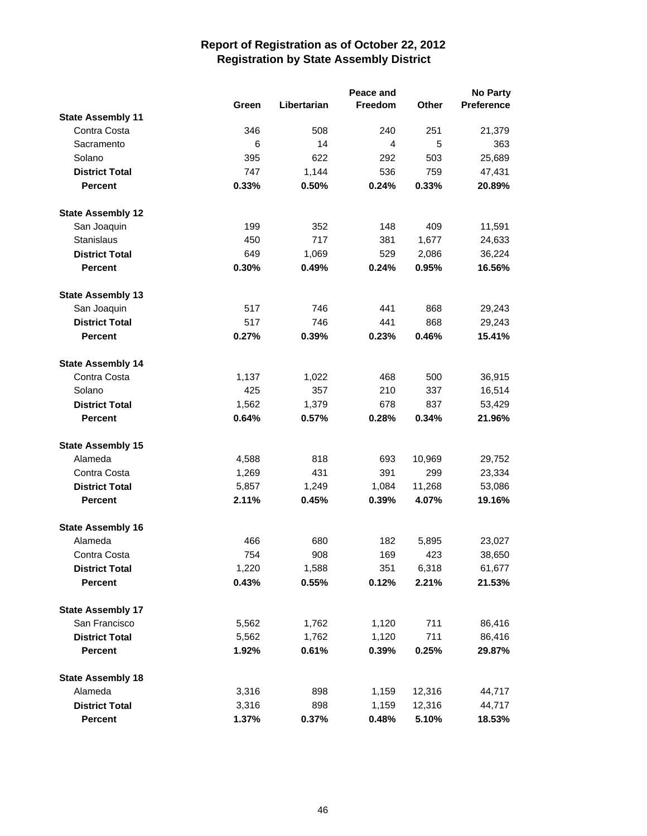|                          |       |             | Peace and |        | <b>No Party</b>   |
|--------------------------|-------|-------------|-----------|--------|-------------------|
|                          | Green | Libertarian | Freedom   | Other  | <b>Preference</b> |
| <b>State Assembly 11</b> |       |             |           |        |                   |
| Contra Costa             | 346   | 508         | 240       | 251    | 21,379            |
| Sacramento               | 6     | 14          | 4         | 5      | 363               |
| Solano                   | 395   | 622         | 292       | 503    | 25,689            |
| <b>District Total</b>    | 747   | 1,144       | 536       | 759    | 47,431            |
| <b>Percent</b>           | 0.33% | 0.50%       | 0.24%     | 0.33%  | 20.89%            |
| <b>State Assembly 12</b> |       |             |           |        |                   |
| San Joaquin              | 199   | 352         | 148       | 409    | 11,591            |
| <b>Stanislaus</b>        | 450   | 717         | 381       | 1,677  | 24,633            |
| <b>District Total</b>    | 649   | 1,069       | 529       | 2,086  | 36,224            |
| <b>Percent</b>           | 0.30% | 0.49%       | 0.24%     | 0.95%  | 16.56%            |
| <b>State Assembly 13</b> |       |             |           |        |                   |
| San Joaquin              | 517   | 746         | 441       | 868    | 29,243            |
| <b>District Total</b>    | 517   | 746         | 441       | 868    | 29,243            |
| <b>Percent</b>           | 0.27% | 0.39%       | 0.23%     | 0.46%  | 15.41%            |
| <b>State Assembly 14</b> |       |             |           |        |                   |
| Contra Costa             | 1,137 | 1,022       | 468       | 500    | 36,915            |
| Solano                   | 425   | 357         | 210       | 337    | 16,514            |
| <b>District Total</b>    | 1,562 | 1,379       | 678       | 837    | 53,429            |
| <b>Percent</b>           | 0.64% | 0.57%       | 0.28%     | 0.34%  | 21.96%            |
| <b>State Assembly 15</b> |       |             |           |        |                   |
| Alameda                  | 4,588 | 818         | 693       | 10,969 | 29,752            |
| Contra Costa             | 1,269 | 431         | 391       | 299    | 23,334            |
| <b>District Total</b>    | 5,857 | 1,249       | 1,084     | 11,268 | 53,086            |
| <b>Percent</b>           | 2.11% | 0.45%       | 0.39%     | 4.07%  | 19.16%            |
| <b>State Assembly 16</b> |       |             |           |        |                   |
| Alameda                  | 466   | 680         | 182       | 5,895  | 23,027            |
| Contra Costa             | 754   | 908         | 169       | 423    | 38,650            |
| <b>District Total</b>    | 1,220 | 1,588       | 351       | 6,318  | 61,677            |
| <b>Percent</b>           | 0.43% | 0.55%       | 0.12%     | 2.21%  | 21.53%            |
| <b>State Assembly 17</b> |       |             |           |        |                   |
| San Francisco            | 5,562 | 1,762       | 1,120     | 711    | 86,416            |
| <b>District Total</b>    | 5,562 | 1,762       | 1,120     | 711    | 86,416            |
| <b>Percent</b>           | 1.92% | 0.61%       | 0.39%     | 0.25%  | 29.87%            |
| <b>State Assembly 18</b> |       |             |           |        |                   |
| Alameda                  | 3,316 | 898         | 1,159     | 12,316 | 44,717            |
| <b>District Total</b>    | 3,316 | 898         | 1,159     | 12,316 | 44,717            |
| <b>Percent</b>           | 1.37% | 0.37%       | 0.48%     | 5.10%  | 18.53%            |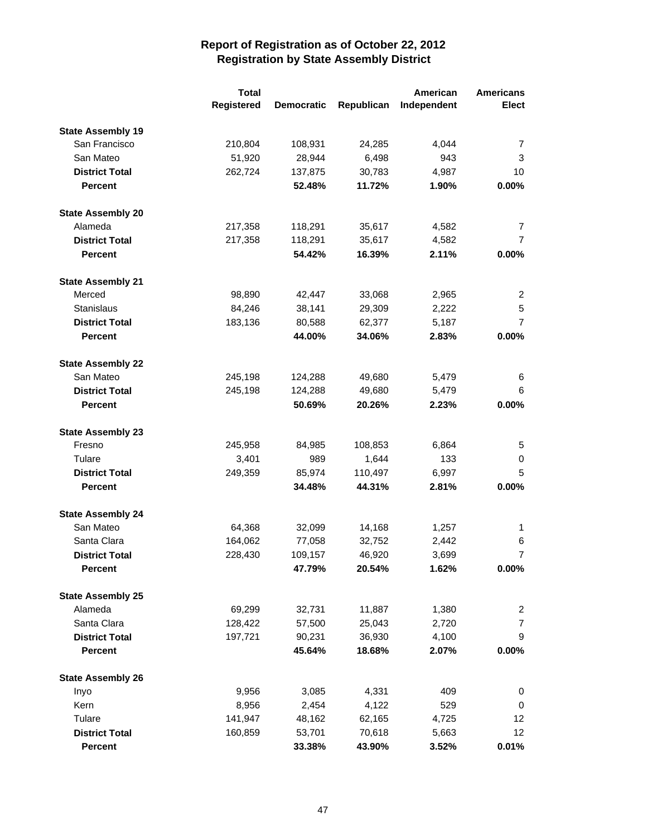|                          | <b>Total</b> |                   |            | American    | <b>Americans</b> |
|--------------------------|--------------|-------------------|------------|-------------|------------------|
|                          | Registered   | <b>Democratic</b> | Republican | Independent | <b>Elect</b>     |
| <b>State Assembly 19</b> |              |                   |            |             |                  |
| San Francisco            | 210,804      | 108,931           | 24,285     | 4,044       | 7                |
| San Mateo                | 51,920       | 28,944            | 6,498      | 943         | 3                |
| <b>District Total</b>    | 262,724      | 137,875           | 30,783     | 4,987       | 10               |
| <b>Percent</b>           |              | 52.48%            | 11.72%     | 1.90%       | 0.00%            |
| <b>State Assembly 20</b> |              |                   |            |             |                  |
| Alameda                  | 217,358      | 118,291           | 35,617     | 4,582       | 7                |
| <b>District Total</b>    | 217,358      | 118,291           | 35,617     | 4,582       | $\overline{7}$   |
| <b>Percent</b>           |              | 54.42%            | 16.39%     | 2.11%       | $0.00\%$         |
| <b>State Assembly 21</b> |              |                   |            |             |                  |
| Merced                   | 98,890       | 42,447            | 33,068     | 2,965       | $\overline{2}$   |
| <b>Stanislaus</b>        | 84,246       | 38,141            | 29,309     | 2,222       | 5                |
| <b>District Total</b>    | 183,136      | 80,588            | 62,377     | 5,187       | 7                |
| <b>Percent</b>           |              | 44.00%            | 34.06%     | 2.83%       | 0.00%            |
| <b>State Assembly 22</b> |              |                   |            |             |                  |
| San Mateo                | 245,198      | 124,288           | 49,680     | 5,479       | 6                |
| <b>District Total</b>    | 245,198      | 124,288           | 49,680     | 5,479       | 6                |
| <b>Percent</b>           |              | 50.69%            | 20.26%     | 2.23%       | 0.00%            |
| <b>State Assembly 23</b> |              |                   |            |             |                  |
| Fresno                   | 245,958      | 84,985            | 108,853    | 6,864       | 5                |
| Tulare                   | 3,401        | 989               | 1,644      | 133         | 0                |
| <b>District Total</b>    | 249,359      | 85,974            | 110,497    | 6,997       | 5                |
| <b>Percent</b>           |              | 34.48%            | 44.31%     | 2.81%       | 0.00%            |
| <b>State Assembly 24</b> |              |                   |            |             |                  |
| San Mateo                | 64,368       | 32,099            | 14,168     | 1,257       | 1                |
| Santa Clara              | 164,062      | 77,058            | 32,752     | 2,442       | 6                |
| <b>District Total</b>    | 228,430      | 109,157           | 46,920     | 3,699       | 7                |
| <b>Percent</b>           |              | 47.79%            | 20.54%     | 1.62%       | $0.00\%$         |
| <b>State Assembly 25</b> |              |                   |            |             |                  |
| Alameda                  | 69,299       | 32,731            | 11,887     | 1,380       | 2                |
| Santa Clara              | 128,422      | 57,500            | 25,043     | 2,720       | $\overline{7}$   |
| <b>District Total</b>    | 197,721      | 90,231            | 36,930     | 4,100       | 9                |
| <b>Percent</b>           |              | 45.64%            | 18.68%     | 2.07%       | 0.00%            |
| <b>State Assembly 26</b> |              |                   |            |             |                  |
| Inyo                     | 9,956        | 3,085             | 4,331      | 409         | 0                |
| Kern                     | 8,956        | 2,454             | 4,122      | 529         | 0                |
| Tulare                   | 141,947      | 48,162            | 62,165     | 4,725       | 12               |
| <b>District Total</b>    | 160,859      | 53,701            | 70,618     | 5,663       | 12 <sup>°</sup>  |
| Percent                  |              | 33.38%            | 43.90%     | 3.52%       | 0.01%            |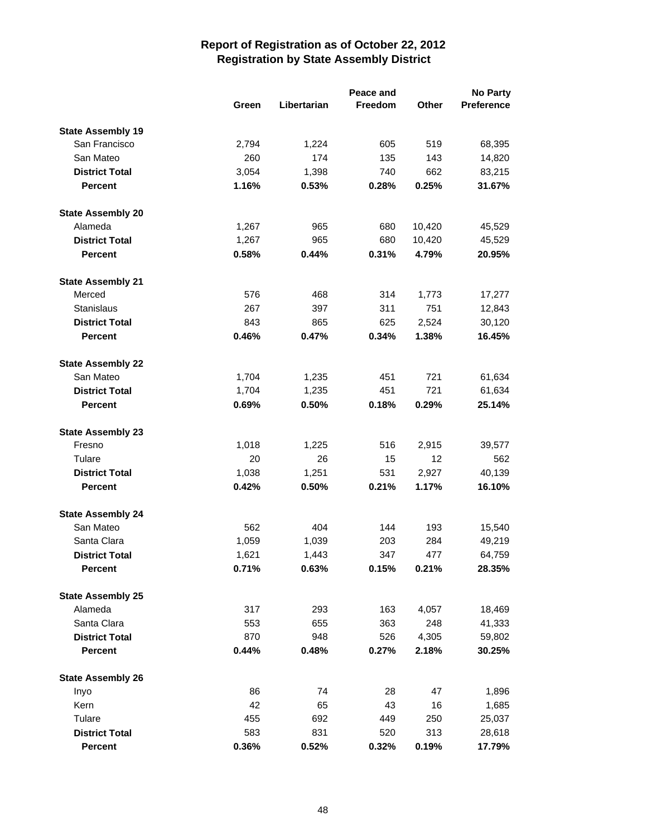|                                     |       |             | Peace and | <b>No Party</b> |                   |  |
|-------------------------------------|-------|-------------|-----------|-----------------|-------------------|--|
|                                     | Green | Libertarian | Freedom   | Other           | <b>Preference</b> |  |
| <b>State Assembly 19</b>            |       |             |           |                 |                   |  |
| San Francisco                       | 2,794 | 1,224       | 605       | 519             | 68,395            |  |
| San Mateo                           | 260   | 174         | 135       | 143             | 14,820            |  |
| <b>District Total</b>               | 3,054 | 1,398       | 740       | 662             | 83,215            |  |
| <b>Percent</b>                      | 1.16% | 0.53%       | 0.28%     | 0.25%           | 31.67%            |  |
|                                     |       |             |           |                 |                   |  |
| <b>State Assembly 20</b><br>Alameda | 1,267 | 965         | 680       | 10,420          | 45,529            |  |
| <b>District Total</b>               | 1,267 | 965         | 680       | 10,420          | 45,529            |  |
|                                     |       |             |           |                 |                   |  |
| <b>Percent</b>                      | 0.58% | 0.44%       | 0.31%     | 4.79%           | 20.95%            |  |
| <b>State Assembly 21</b>            |       |             |           |                 |                   |  |
| Merced                              | 576   | 468         | 314       | 1,773           | 17,277            |  |
| <b>Stanislaus</b>                   | 267   | 397         | 311       | 751             | 12,843            |  |
| <b>District Total</b>               | 843   | 865         | 625       | 2,524           | 30,120            |  |
| <b>Percent</b>                      | 0.46% | 0.47%       | 0.34%     | 1.38%           | 16.45%            |  |
| <b>State Assembly 22</b>            |       |             |           |                 |                   |  |
| San Mateo                           | 1,704 | 1,235       | 451       | 721             | 61,634            |  |
| <b>District Total</b>               | 1,704 | 1,235       | 451       | 721             | 61,634            |  |
| <b>Percent</b>                      | 0.69% | 0.50%       | 0.18%     | 0.29%           | 25.14%            |  |
|                                     |       |             |           |                 |                   |  |
| <b>State Assembly 23</b>            |       |             |           |                 |                   |  |
| Fresno                              | 1,018 | 1,225       | 516       | 2,915           | 39,577            |  |
| Tulare                              | 20    | 26          | 15        | 12              | 562               |  |
| <b>District Total</b>               | 1,038 | 1,251       | 531       | 2,927           | 40,139            |  |
| <b>Percent</b>                      | 0.42% | 0.50%       | 0.21%     | 1.17%           | 16.10%            |  |
| <b>State Assembly 24</b>            |       |             |           |                 |                   |  |
| San Mateo                           | 562   | 404         | 144       | 193             | 15,540            |  |
| Santa Clara                         | 1,059 | 1,039       | 203       | 284             | 49,219            |  |
| <b>District Total</b>               | 1,621 | 1,443       | 347       | 477             | 64,759            |  |
| <b>Percent</b>                      | 0.71% | 0.63%       | 0.15%     | 0.21%           | 28.35%            |  |
| <b>State Assembly 25</b>            |       |             |           |                 |                   |  |
| Alameda                             | 317   | 293         | 163       | 4,057           | 18,469            |  |
| Santa Clara                         | 553   | 655         | 363       | 248             | 41,333            |  |
| <b>District Total</b>               | 870   | 948         | 526       | 4,305           | 59,802            |  |
| <b>Percent</b>                      | 0.44% | 0.48%       | 0.27%     | 2.18%           | 30.25%            |  |
|                                     |       |             |           |                 |                   |  |
| <b>State Assembly 26</b>            |       |             |           |                 |                   |  |
| Inyo                                | 86    | 74          | 28        | 47              | 1,896             |  |
| Kern                                | 42    | 65          | 43        | 16              | 1,685             |  |
| Tulare                              | 455   | 692         | 449       | 250             | 25,037            |  |
| <b>District Total</b>               | 583   | 831         | 520       | 313             | 28,618            |  |
| Percent                             | 0.36% | 0.52%       | 0.32%     | 0.19%           | 17.79%            |  |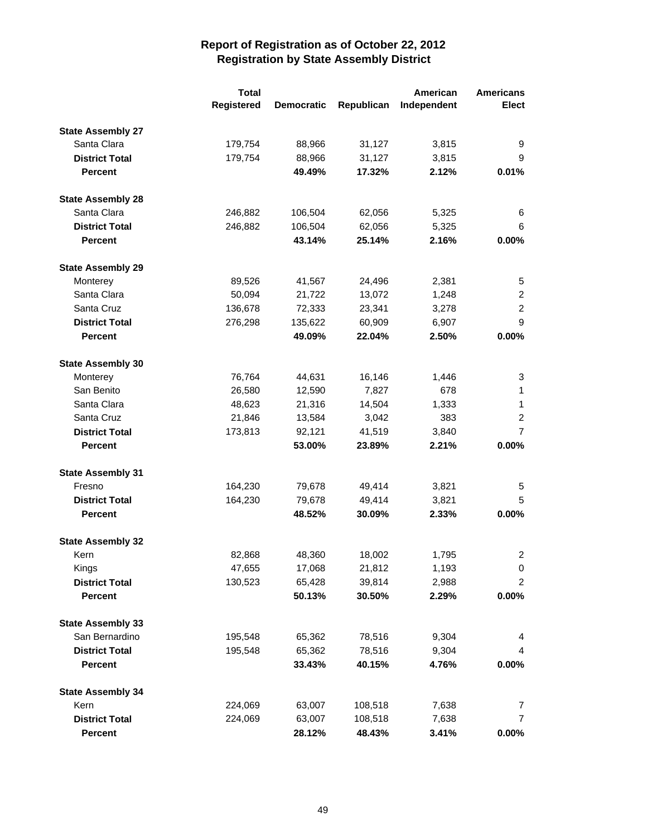|                          | <b>Total</b> |                   |            | American    | <b>Americans</b> |
|--------------------------|--------------|-------------------|------------|-------------|------------------|
|                          | Registered   | <b>Democratic</b> | Republican | Independent | <b>Elect</b>     |
| <b>State Assembly 27</b> |              |                   |            |             |                  |
| Santa Clara              | 179,754      | 88,966            | 31,127     | 3,815       | 9                |
| <b>District Total</b>    | 179,754      | 88,966            | 31,127     | 3,815       | 9                |
| <b>Percent</b>           |              | 49.49%            | 17.32%     | 2.12%       | 0.01%            |
| <b>State Assembly 28</b> |              |                   |            |             |                  |
| Santa Clara              | 246,882      | 106,504           | 62,056     | 5,325       | 6                |
| <b>District Total</b>    | 246,882      | 106,504           | 62,056     | 5,325       | 6                |
| <b>Percent</b>           |              | 43.14%            | 25.14%     | 2.16%       | 0.00%            |
| <b>State Assembly 29</b> |              |                   |            |             |                  |
| Monterey                 | 89,526       | 41,567            | 24,496     | 2,381       | 5                |
| Santa Clara              | 50,094       | 21,722            | 13,072     | 1,248       | $\overline{2}$   |
| Santa Cruz               | 136,678      | 72,333            | 23,341     | 3,278       | 2                |
| <b>District Total</b>    | 276,298      | 135,622           | 60,909     | 6,907       | 9                |
| <b>Percent</b>           |              | 49.09%            | 22.04%     | 2.50%       | 0.00%            |
| <b>State Assembly 30</b> |              |                   |            |             |                  |
| Monterey                 | 76,764       | 44,631            | 16,146     | 1,446       | 3                |
| San Benito               | 26,580       | 12,590            | 7,827      | 678         | 1                |
| Santa Clara              | 48,623       | 21,316            | 14,504     | 1,333       | 1                |
| Santa Cruz               | 21,846       | 13,584            | 3,042      | 383         | $\overline{c}$   |
| <b>District Total</b>    | 173,813      | 92,121            | 41,519     | 3,840       | $\overline{7}$   |
| <b>Percent</b>           |              | 53.00%            | 23.89%     | 2.21%       | 0.00%            |
| <b>State Assembly 31</b> |              |                   |            |             |                  |
| Fresno                   | 164,230      | 79,678            | 49,414     | 3,821       | 5                |
| <b>District Total</b>    | 164,230      | 79,678            | 49,414     | 3,821       | 5                |
| <b>Percent</b>           |              | 48.52%            | 30.09%     | 2.33%       | 0.00%            |
| <b>State Assembly 32</b> |              |                   |            |             |                  |
| Kern                     | 82,868       | 48,360            | 18,002     | 1,795       | 2                |
| Kings                    | 47,655       | 17,068            | 21,812     | 1,193       | 0                |
| <b>District Total</b>    | 130,523      | 65,428            | 39,814     | 2,988       | $\overline{2}$   |
| <b>Percent</b>           |              | 50.13%            | 30.50%     | 2.29%       | $0.00\%$         |
| <b>State Assembly 33</b> |              |                   |            |             |                  |
| San Bernardino           | 195,548      | 65,362            | 78,516     | 9,304       | 4                |
| <b>District Total</b>    | 195,548      | 65,362            | 78,516     | 9,304       | 4                |
| Percent                  |              | 33.43%            | 40.15%     | 4.76%       | 0.00%            |
| <b>State Assembly 34</b> |              |                   |            |             |                  |
| Kern                     | 224,069      | 63,007            | 108,518    | 7,638       | 7                |
| <b>District Total</b>    | 224,069      | 63,007            | 108,518    | 7,638       | 7                |
| <b>Percent</b>           |              | 28.12%            | 48.43%     | 3.41%       | $0.00\%$         |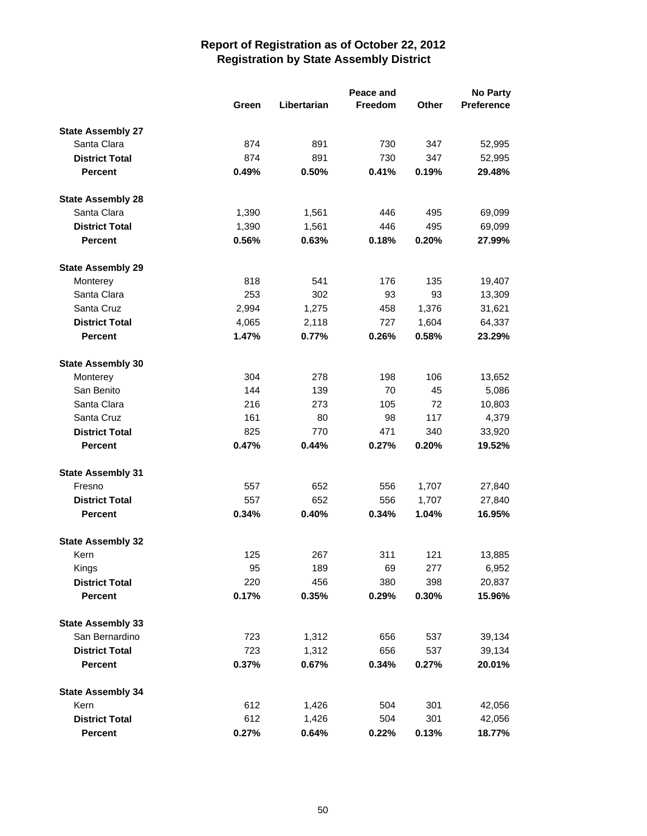|                          |       |             | Peace and |       | <b>No Party</b>   |
|--------------------------|-------|-------------|-----------|-------|-------------------|
|                          | Green | Libertarian | Freedom   | Other | <b>Preference</b> |
| <b>State Assembly 27</b> |       |             |           |       |                   |
| Santa Clara              | 874   | 891         | 730       | 347   | 52,995            |
| <b>District Total</b>    | 874   | 891         | 730       | 347   | 52,995            |
| <b>Percent</b>           | 0.49% | 0.50%       | 0.41%     | 0.19% | 29.48%            |
| <b>State Assembly 28</b> |       |             |           |       |                   |
| Santa Clara              | 1,390 | 1,561       | 446       | 495   | 69,099            |
| <b>District Total</b>    | 1,390 | 1,561       | 446       | 495   | 69,099            |
| <b>Percent</b>           | 0.56% | 0.63%       | 0.18%     | 0.20% | 27.99%            |
| <b>State Assembly 29</b> |       |             |           |       |                   |
| Monterey                 | 818   | 541         | 176       | 135   | 19,407            |
| Santa Clara              | 253   | 302         | 93        | 93    | 13,309            |
| Santa Cruz               | 2,994 | 1,275       | 458       | 1,376 | 31,621            |
| <b>District Total</b>    | 4,065 | 2,118       | 727       | 1,604 | 64,337            |
| <b>Percent</b>           | 1.47% | 0.77%       | 0.26%     | 0.58% | 23.29%            |
| <b>State Assembly 30</b> |       |             |           |       |                   |
| Monterey                 | 304   | 278         | 198       | 106   | 13,652            |
| San Benito               | 144   | 139         | 70        | 45    | 5,086             |
| Santa Clara              | 216   | 273         | 105       | 72    | 10,803            |
| Santa Cruz               | 161   | 80          | 98        | 117   | 4,379             |
| <b>District Total</b>    | 825   | 770         | 471       | 340   | 33,920            |
| <b>Percent</b>           | 0.47% | 0.44%       | 0.27%     | 0.20% | 19.52%            |
| <b>State Assembly 31</b> |       |             |           |       |                   |
| Fresno                   | 557   | 652         | 556       | 1,707 | 27,840            |
| <b>District Total</b>    | 557   | 652         | 556       | 1,707 | 27,840            |
| <b>Percent</b>           | 0.34% | 0.40%       | 0.34%     | 1.04% | 16.95%            |
| <b>State Assembly 32</b> |       |             |           |       |                   |
| Kern                     | 125   | 267         | 311       | 121   | 13,885            |
| Kings                    | 95    | 189         | 69        | 277   | 6,952             |
| <b>District Total</b>    | 220   | 456         | 380       | 398   | 20,837            |
| <b>Percent</b>           | 0.17% | 0.35%       | 0.29%     | 0.30% | 15.96%            |
| <b>State Assembly 33</b> |       |             |           |       |                   |
| San Bernardino           | 723   | 1,312       | 656       | 537   | 39,134            |
| <b>District Total</b>    | 723   | 1,312       | 656       | 537   | 39,134            |
| Percent                  | 0.37% | 0.67%       | 0.34%     | 0.27% | 20.01%            |
| <b>State Assembly 34</b> |       |             |           |       |                   |
| Kern                     | 612   | 1,426       | 504       | 301   | 42,056            |
| <b>District Total</b>    | 612   | 1,426       | 504       | 301   | 42,056            |
| Percent                  | 0.27% | 0.64%       | 0.22%     | 0.13% | 18.77%            |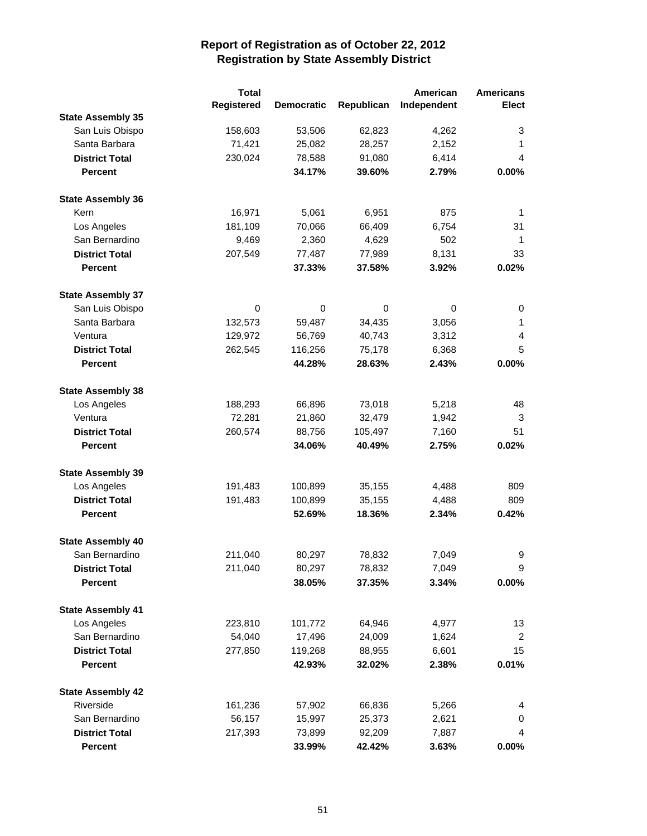|                          | <b>Total</b> |                   |            | American    | <b>Americans</b> |
|--------------------------|--------------|-------------------|------------|-------------|------------------|
|                          | Registered   | <b>Democratic</b> | Republican | Independent | <b>Elect</b>     |
| <b>State Assembly 35</b> |              |                   |            |             |                  |
| San Luis Obispo          | 158,603      | 53,506            | 62,823     | 4,262       | 3                |
| Santa Barbara            | 71,421       | 25,082            | 28,257     | 2,152       | 1                |
| <b>District Total</b>    | 230,024      | 78,588            | 91,080     | 6,414       | 4                |
| <b>Percent</b>           |              | 34.17%            | 39.60%     | 2.79%       | 0.00%            |
| <b>State Assembly 36</b> |              |                   |            |             |                  |
| Kern                     | 16,971       | 5,061             | 6,951      | 875         | 1                |
| Los Angeles              | 181,109      | 70,066            | 66,409     | 6,754       | 31               |
| San Bernardino           | 9,469        | 2,360             | 4,629      | 502         | 1                |
| <b>District Total</b>    | 207,549      | 77,487            | 77,989     | 8,131       | 33               |
| <b>Percent</b>           |              | 37.33%            | 37.58%     | 3.92%       | 0.02%            |
| <b>State Assembly 37</b> |              |                   |            |             |                  |
| San Luis Obispo          | 0            | 0                 | 0          | 0           | 0                |
| Santa Barbara            | 132,573      | 59,487            | 34,435     | 3,056       | 1                |
| Ventura                  | 129,972      | 56,769            | 40,743     | 3,312       | 4                |
| <b>District Total</b>    | 262,545      | 116,256           | 75,178     | 6,368       | 5                |
| <b>Percent</b>           |              | 44.28%            | 28.63%     | 2.43%       | 0.00%            |
| <b>State Assembly 38</b> |              |                   |            |             |                  |
| Los Angeles              | 188,293      | 66,896            | 73,018     | 5,218       | 48               |
| Ventura                  | 72,281       | 21,860            | 32,479     | 1,942       | 3                |
| <b>District Total</b>    | 260,574      | 88,756            | 105,497    | 7,160       | 51               |
| <b>Percent</b>           |              | 34.06%            | 40.49%     | 2.75%       | 0.02%            |
| <b>State Assembly 39</b> |              |                   |            |             |                  |
| Los Angeles              | 191,483      | 100,899           | 35,155     | 4,488       | 809              |
| <b>District Total</b>    | 191,483      | 100,899           | 35,155     | 4,488       | 809              |
| <b>Percent</b>           |              | 52.69%            | 18.36%     | 2.34%       | 0.42%            |
| <b>State Assembly 40</b> |              |                   |            |             |                  |
| San Bernardino           | 211,040      | 80,297            | 78,832     | 7,049       | 9                |
| <b>District Total</b>    | 211,040      | 80,297            | 78,832     | 7,049       | 9                |
| <b>Percent</b>           |              | 38.05%            | 37.35%     | 3.34%       | $0.00\%$         |
| <b>State Assembly 41</b> |              |                   |            |             |                  |
| Los Angeles              | 223,810      | 101,772           | 64,946     | 4,977       | 13               |
| San Bernardino           | 54,040       | 17,496            | 24,009     | 1,624       | $\overline{2}$   |
| <b>District Total</b>    | 277,850      | 119,268           | 88,955     | 6,601       | 15               |
| <b>Percent</b>           |              | 42.93%            | 32.02%     | 2.38%       | 0.01%            |
| <b>State Assembly 42</b> |              |                   |            |             |                  |
| Riverside                | 161,236      | 57,902            | 66,836     | 5,266       | 4                |
| San Bernardino           | 56,157       | 15,997            | 25,373     | 2,621       | 0                |
| <b>District Total</b>    | 217,393      | 73,899            | 92,209     | 7,887       | 4                |
| <b>Percent</b>           |              | 33.99%            | 42.42%     | 3.63%       | $0.00\%$         |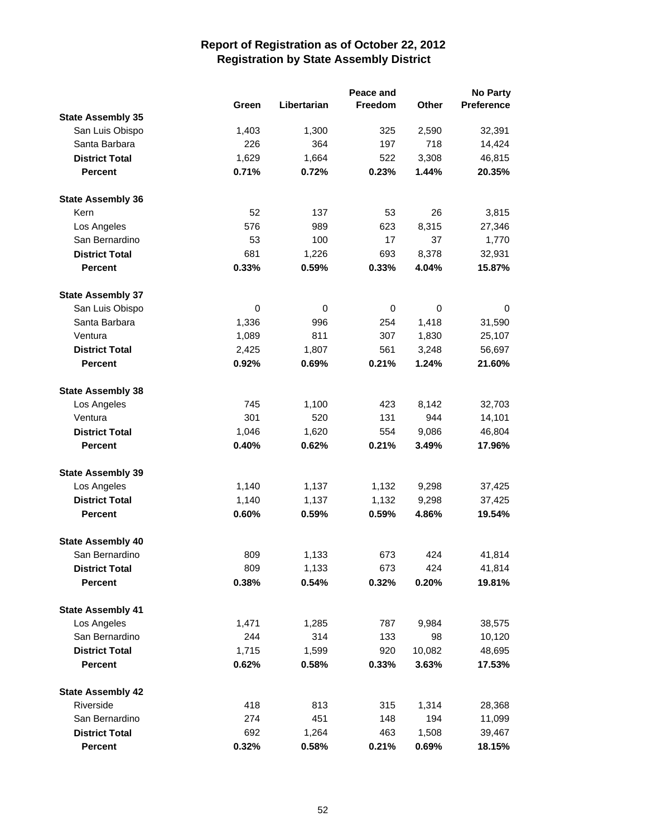|                          |       | Peace and   |                |              | <b>No Party</b>   |  |  |
|--------------------------|-------|-------------|----------------|--------------|-------------------|--|--|
|                          | Green | Libertarian | <b>Freedom</b> | <b>Other</b> | <b>Preference</b> |  |  |
| <b>State Assembly 35</b> |       |             |                |              |                   |  |  |
| San Luis Obispo          | 1,403 | 1,300       | 325            | 2,590        | 32,391            |  |  |
| Santa Barbara            | 226   | 364         | 197            | 718          | 14,424            |  |  |
| <b>District Total</b>    | 1,629 | 1,664       | 522            | 3,308        | 46,815            |  |  |
| <b>Percent</b>           | 0.71% | 0.72%       | 0.23%          | 1.44%        | 20.35%            |  |  |
| <b>State Assembly 36</b> |       |             |                |              |                   |  |  |
| Kern                     | 52    | 137         | 53             | 26           | 3,815             |  |  |
| Los Angeles              | 576   | 989         | 623            | 8,315        | 27,346            |  |  |
| San Bernardino           | 53    | 100         | 17             | 37           | 1,770             |  |  |
| <b>District Total</b>    | 681   | 1,226       | 693            | 8,378        | 32,931            |  |  |
| <b>Percent</b>           | 0.33% | 0.59%       | 0.33%          | 4.04%        | 15.87%            |  |  |
| <b>State Assembly 37</b> |       |             |                |              |                   |  |  |
| San Luis Obispo          | 0     | 0           | 0              | $\pmb{0}$    | 0                 |  |  |
| Santa Barbara            | 1,336 | 996         | 254            | 1,418        | 31,590            |  |  |
| Ventura                  | 1,089 | 811         | 307            | 1,830        | 25,107            |  |  |
| <b>District Total</b>    | 2,425 | 1,807       | 561            | 3,248        | 56,697            |  |  |
| <b>Percent</b>           | 0.92% | 0.69%       | 0.21%          | 1.24%        | 21.60%            |  |  |
| <b>State Assembly 38</b> |       |             |                |              |                   |  |  |
| Los Angeles              | 745   | 1,100       | 423            | 8,142        | 32,703            |  |  |
| Ventura                  | 301   | 520         | 131            | 944          | 14,101            |  |  |
| <b>District Total</b>    | 1,046 | 1,620       | 554            | 9,086        | 46,804            |  |  |
| <b>Percent</b>           | 0.40% | 0.62%       | 0.21%          | 3.49%        | 17.96%            |  |  |
| <b>State Assembly 39</b> |       |             |                |              |                   |  |  |
| Los Angeles              | 1,140 | 1,137       | 1,132          | 9,298        | 37,425            |  |  |
| <b>District Total</b>    | 1,140 | 1,137       | 1,132          | 9,298        | 37,425            |  |  |
| <b>Percent</b>           | 0.60% | 0.59%       | 0.59%          | 4.86%        | 19.54%            |  |  |
| <b>State Assembly 40</b> |       |             |                |              |                   |  |  |
| San Bernardino           | 809   | 1,133       | 673            | 424          | 41,814            |  |  |
| <b>District Total</b>    | 809   | 1,133       | 673            | 424          | 41,814            |  |  |
| Percent                  | 0.38% | 0.54%       | 0.32%          | 0.20%        | 19.81%            |  |  |
| <b>State Assembly 41</b> |       |             |                |              |                   |  |  |
| Los Angeles              | 1,471 | 1,285       | 787            | 9,984        | 38,575            |  |  |
| San Bernardino           | 244   | 314         | 133            | 98           | 10,120            |  |  |
| <b>District Total</b>    | 1,715 | 1,599       | 920            | 10,082       | 48,695            |  |  |
| <b>Percent</b>           | 0.62% | 0.58%       | 0.33%          | 3.63%        | 17.53%            |  |  |
| <b>State Assembly 42</b> |       |             |                |              |                   |  |  |
| Riverside                | 418   | 813         | 315            | 1,314        | 28,368            |  |  |
| San Bernardino           | 274   | 451         | 148            | 194          | 11,099            |  |  |
| <b>District Total</b>    | 692   | 1,264       | 463            | 1,508        | 39,467            |  |  |
| <b>Percent</b>           | 0.32% | 0.58%       | 0.21%          | 0.69%        | 18.15%            |  |  |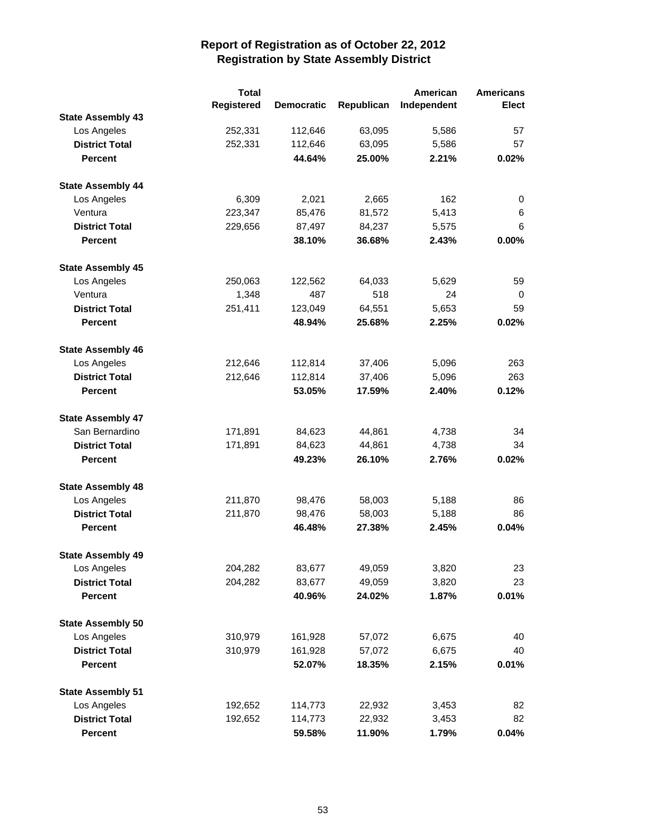|                          | <b>Total</b> |                   |            | American    | <b>Americans</b> |
|--------------------------|--------------|-------------------|------------|-------------|------------------|
|                          | Registered   | <b>Democratic</b> | Republican | Independent | <b>Elect</b>     |
| <b>State Assembly 43</b> |              |                   |            |             |                  |
| Los Angeles              | 252,331      | 112,646           | 63,095     | 5,586       | 57               |
| <b>District Total</b>    | 252,331      | 112,646           | 63,095     | 5,586       | 57               |
| <b>Percent</b>           |              | 44.64%            | 25.00%     | 2.21%       | 0.02%            |
| <b>State Assembly 44</b> |              |                   |            |             |                  |
| Los Angeles              | 6,309        | 2,021             | 2,665      | 162         | 0                |
| Ventura                  | 223,347      | 85,476            | 81,572     | 5,413       | 6                |
| <b>District Total</b>    | 229,656      | 87,497            | 84,237     | 5,575       | 6                |
| <b>Percent</b>           |              | 38.10%            | 36.68%     | 2.43%       | 0.00%            |
| <b>State Assembly 45</b> |              |                   |            |             |                  |
| Los Angeles              | 250,063      | 122,562           | 64,033     | 5,629       | 59               |
| Ventura                  | 1,348        | 487               | 518        | 24          | 0                |
| <b>District Total</b>    | 251,411      | 123,049           | 64,551     | 5,653       | 59               |
| <b>Percent</b>           |              | 48.94%            | 25.68%     | 2.25%       | 0.02%            |
| <b>State Assembly 46</b> |              |                   |            |             |                  |
| Los Angeles              | 212,646      | 112,814           | 37,406     | 5,096       | 263              |
| <b>District Total</b>    | 212,646      | 112,814           | 37,406     | 5,096       | 263              |
| <b>Percent</b>           |              | 53.05%            | 17.59%     | 2.40%       | 0.12%            |
| <b>State Assembly 47</b> |              |                   |            |             |                  |
| San Bernardino           | 171,891      | 84,623            | 44,861     | 4,738       | 34               |
| <b>District Total</b>    | 171,891      | 84,623            | 44,861     | 4,738       | 34               |
| <b>Percent</b>           |              | 49.23%            | 26.10%     | 2.76%       | 0.02%            |
| <b>State Assembly 48</b> |              |                   |            |             |                  |
| Los Angeles              | 211,870      | 98,476            | 58,003     | 5,188       | 86               |
| <b>District Total</b>    | 211,870      | 98,476            | 58,003     | 5,188       | 86               |
| <b>Percent</b>           |              | 46.48%            | 27.38%     | 2.45%       | 0.04%            |
| <b>State Assembly 49</b> |              |                   |            |             |                  |
| Los Angeles              | 204,282      | 83,677            | 49,059     | 3,820       | 23               |
| <b>District Total</b>    | 204,282      | 83,677            | 49,059     | 3,820       | 23               |
| <b>Percent</b>           |              | 40.96%            | 24.02%     | 1.87%       | 0.01%            |
| <b>State Assembly 50</b> |              |                   |            |             |                  |
| Los Angeles              | 310,979      | 161,928           | 57,072     | 6,675       | 40               |
| <b>District Total</b>    | 310,979      | 161,928           | 57,072     | 6,675       | 40               |
| <b>Percent</b>           |              | 52.07%            | 18.35%     | 2.15%       | 0.01%            |
| <b>State Assembly 51</b> |              |                   |            |             |                  |
| Los Angeles              | 192,652      | 114,773           | 22,932     | 3,453       | 82               |
| <b>District Total</b>    | 192,652      | 114,773           | 22,932     | 3,453       | 82               |
| <b>Percent</b>           |              | 59.58%            | 11.90%     | 1.79%       | 0.04%            |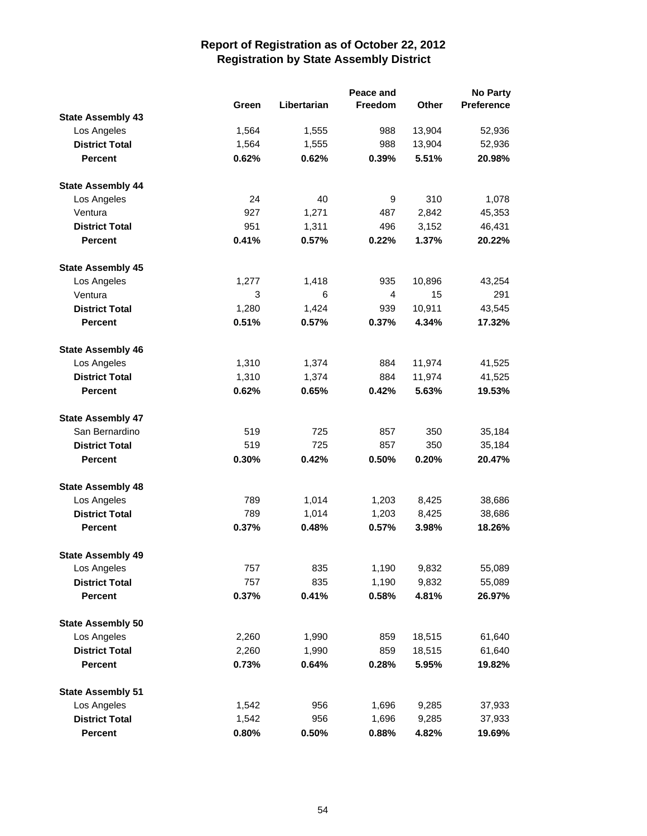|                          |       | Peace and   |                |              | No Party          |  |  |
|--------------------------|-------|-------------|----------------|--------------|-------------------|--|--|
|                          | Green | Libertarian | <b>Freedom</b> | <b>Other</b> | <b>Preference</b> |  |  |
| <b>State Assembly 43</b> |       |             |                |              |                   |  |  |
| Los Angeles              | 1,564 | 1,555       | 988            | 13,904       | 52,936            |  |  |
| <b>District Total</b>    | 1,564 | 1,555       | 988            | 13,904       | 52,936            |  |  |
| <b>Percent</b>           | 0.62% | 0.62%       | 0.39%          | 5.51%        | 20.98%            |  |  |
| <b>State Assembly 44</b> |       |             |                |              |                   |  |  |
| Los Angeles              | 24    | 40          | 9              | 310          | 1,078             |  |  |
| Ventura                  | 927   | 1,271       | 487            | 2,842        | 45,353            |  |  |
| <b>District Total</b>    | 951   | 1,311       | 496            | 3,152        | 46,431            |  |  |
| <b>Percent</b>           | 0.41% | 0.57%       | 0.22%          | 1.37%        | 20.22%            |  |  |
| <b>State Assembly 45</b> |       |             |                |              |                   |  |  |
| Los Angeles              | 1,277 | 1,418       | 935            | 10,896       | 43,254            |  |  |
| Ventura                  | 3     | 6           | $\overline{4}$ | 15           | 291               |  |  |
| <b>District Total</b>    | 1,280 | 1,424       | 939            | 10,911       | 43,545            |  |  |
| <b>Percent</b>           | 0.51% | 0.57%       | 0.37%          | 4.34%        | 17.32%            |  |  |
| <b>State Assembly 46</b> |       |             |                |              |                   |  |  |
| Los Angeles              | 1,310 | 1,374       | 884            | 11,974       | 41,525            |  |  |
| <b>District Total</b>    | 1,310 | 1,374       | 884            | 11,974       | 41,525            |  |  |
| <b>Percent</b>           | 0.62% | 0.65%       | 0.42%          | 5.63%        | 19.53%            |  |  |
| <b>State Assembly 47</b> |       |             |                |              |                   |  |  |
| San Bernardino           | 519   | 725         | 857            | 350          | 35,184            |  |  |
| <b>District Total</b>    | 519   | 725         | 857            | 350          | 35,184            |  |  |
|                          |       |             |                |              |                   |  |  |
| <b>Percent</b>           | 0.30% | 0.42%       | 0.50%          | 0.20%        | 20.47%            |  |  |
| <b>State Assembly 48</b> |       |             |                |              |                   |  |  |
| Los Angeles              | 789   | 1,014       | 1,203          | 8,425        | 38,686            |  |  |
| <b>District Total</b>    | 789   | 1,014       | 1,203          | 8,425        | 38,686            |  |  |
| <b>Percent</b>           | 0.37% | 0.48%       | 0.57%          | 3.98%        | 18.26%            |  |  |
| <b>State Assembly 49</b> |       |             |                |              |                   |  |  |
| Los Angeles              | 757   | 835         | 1,190          | 9,832        | 55,089            |  |  |
| <b>District Total</b>    | 757   | 835         | 1,190          | 9,832        | 55,089            |  |  |
| <b>Percent</b>           | 0.37% | 0.41%       | 0.58%          | 4.81%        | 26.97%            |  |  |
| <b>State Assembly 50</b> |       |             |                |              |                   |  |  |
| Los Angeles              | 2,260 | 1,990       | 859            | 18,515       | 61,640            |  |  |
| <b>District Total</b>    | 2,260 | 1,990       | 859            | 18,515       | 61,640            |  |  |
| Percent                  | 0.73% | 0.64%       | 0.28%          | 5.95%        | 19.82%            |  |  |
| <b>State Assembly 51</b> |       |             |                |              |                   |  |  |
| Los Angeles              | 1,542 | 956         | 1,696          | 9,285        | 37,933            |  |  |
| <b>District Total</b>    | 1,542 | 956         | 1,696          | 9,285        | 37,933            |  |  |
| Percent                  | 0.80% | 0.50%       | 0.88%          | 4.82%        | 19.69%            |  |  |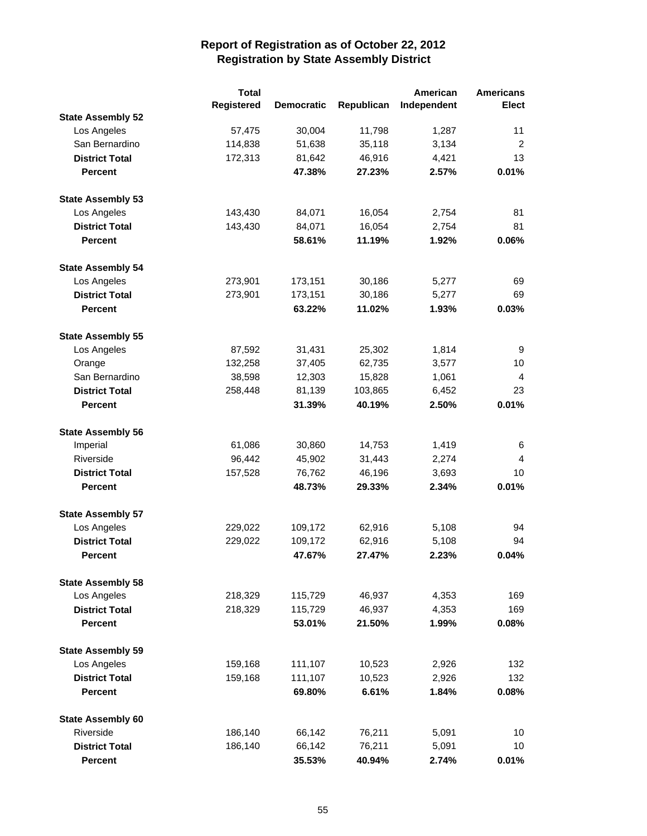|                          | <b>Total</b> |                   |            | American    | <b>Americans</b> |
|--------------------------|--------------|-------------------|------------|-------------|------------------|
|                          | Registered   | <b>Democratic</b> | Republican | Independent | <b>Elect</b>     |
| <b>State Assembly 52</b> |              |                   |            |             |                  |
| Los Angeles              | 57,475       | 30,004            | 11,798     | 1,287       | 11               |
| San Bernardino           | 114,838      | 51,638            | 35,118     | 3,134       | $\overline{2}$   |
| <b>District Total</b>    | 172,313      | 81,642            | 46,916     | 4,421       | 13               |
| <b>Percent</b>           |              | 47.38%            | 27.23%     | 2.57%       | 0.01%            |
| <b>State Assembly 53</b> |              |                   |            |             |                  |
| Los Angeles              | 143,430      | 84,071            | 16,054     | 2,754       | 81               |
| <b>District Total</b>    | 143,430      | 84,071            | 16,054     | 2,754       | 81               |
| <b>Percent</b>           |              | 58.61%            | 11.19%     | 1.92%       | 0.06%            |
| <b>State Assembly 54</b> |              |                   |            |             |                  |
| Los Angeles              | 273,901      | 173,151           | 30,186     | 5,277       | 69               |
| <b>District Total</b>    | 273,901      | 173,151           | 30,186     | 5,277       | 69               |
| <b>Percent</b>           |              | 63.22%            | 11.02%     | 1.93%       | 0.03%            |
| <b>State Assembly 55</b> |              |                   |            |             |                  |
| Los Angeles              | 87,592       | 31,431            | 25,302     | 1,814       | 9                |
| Orange                   | 132,258      | 37,405            | 62,735     | 3,577       | 10               |
| San Bernardino           | 38,598       | 12,303            | 15,828     | 1,061       | 4                |
| <b>District Total</b>    | 258,448      | 81,139            | 103,865    | 6,452       | 23               |
| <b>Percent</b>           |              | 31.39%            | 40.19%     | 2.50%       | 0.01%            |
| <b>State Assembly 56</b> |              |                   |            |             |                  |
| Imperial                 | 61,086       | 30,860            | 14,753     | 1,419       | 6                |
| Riverside                | 96,442       | 45,902            | 31,443     | 2,274       | 4                |
| <b>District Total</b>    | 157,528      | 76,762            | 46,196     | 3,693       | 10               |
| <b>Percent</b>           |              | 48.73%            | 29.33%     | 2.34%       | 0.01%            |
| <b>State Assembly 57</b> |              |                   |            |             |                  |
| Los Angeles              | 229,022      | 109,172           | 62,916     | 5,108       | 94               |
| <b>District Total</b>    | 229,022      | 109,172           | 62,916     | 5,108       | 94               |
| <b>Percent</b>           |              | 47.67%            | 27.47%     | 2.23%       | 0.04%            |
| <b>State Assembly 58</b> |              |                   |            |             |                  |
| Los Angeles              | 218,329      | 115,729           | 46,937     | 4,353       | 169              |
| <b>District Total</b>    | 218,329      | 115,729           | 46,937     | 4,353       | 169              |
| <b>Percent</b>           |              | 53.01%            | 21.50%     | 1.99%       | $0.08\%$         |
| <b>State Assembly 59</b> |              |                   |            |             |                  |
| Los Angeles              | 159,168      | 111,107           | 10,523     | 2,926       | 132              |
| <b>District Total</b>    | 159,168      | 111,107           | 10,523     | 2,926       | 132              |
| <b>Percent</b>           |              | 69.80%            | 6.61%      | 1.84%       | 0.08%            |
| <b>State Assembly 60</b> |              |                   |            |             |                  |
| Riverside                | 186,140      | 66,142            | 76,211     | 5,091       | 10               |
| <b>District Total</b>    | 186,140      | 66,142            | 76,211     | 5,091       | 10               |
| <b>Percent</b>           |              | 35.53%            | 40.94%     | 2.74%       | 0.01%            |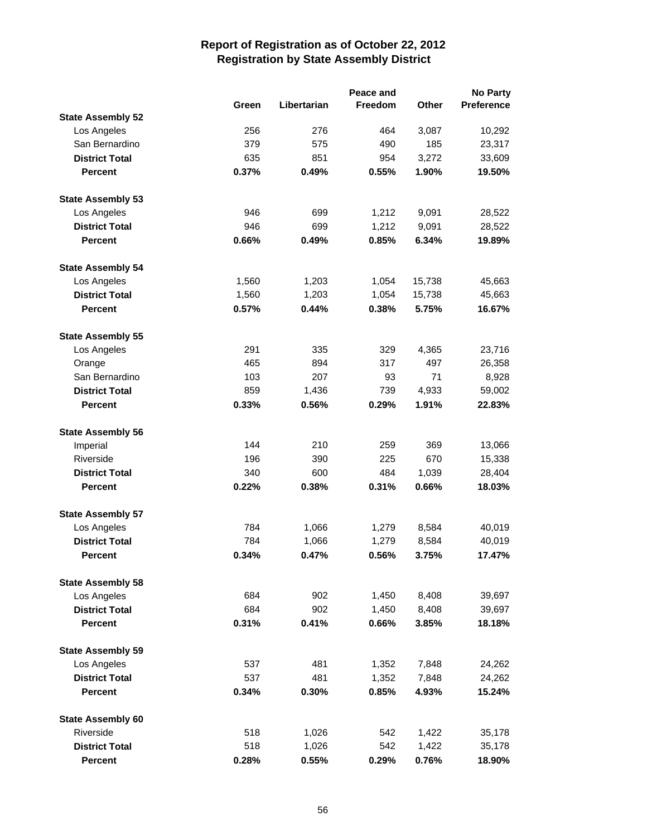|                          |       | Peace and   |                |              | <b>No Party</b> |  |  |
|--------------------------|-------|-------------|----------------|--------------|-----------------|--|--|
|                          | Green | Libertarian | <b>Freedom</b> | <b>Other</b> | Preference      |  |  |
| <b>State Assembly 52</b> |       |             |                |              |                 |  |  |
| Los Angeles              | 256   | 276         | 464            | 3,087        | 10,292          |  |  |
| San Bernardino           | 379   | 575         | 490            | 185          | 23,317          |  |  |
| <b>District Total</b>    | 635   | 851         | 954            | 3,272        | 33,609          |  |  |
| <b>Percent</b>           | 0.37% | 0.49%       | 0.55%          | 1.90%        | 19.50%          |  |  |
| <b>State Assembly 53</b> |       |             |                |              |                 |  |  |
| Los Angeles              | 946   | 699         | 1,212          | 9,091        | 28,522          |  |  |
| <b>District Total</b>    | 946   | 699         | 1,212          | 9,091        | 28,522          |  |  |
| <b>Percent</b>           | 0.66% | 0.49%       | 0.85%          | 6.34%        | 19.89%          |  |  |
| <b>State Assembly 54</b> |       |             |                |              |                 |  |  |
| Los Angeles              | 1,560 | 1,203       | 1,054          | 15,738       | 45,663          |  |  |
| <b>District Total</b>    | 1,560 | 1,203       | 1,054          | 15,738       | 45,663          |  |  |
| <b>Percent</b>           | 0.57% | 0.44%       | 0.38%          | 5.75%        | 16.67%          |  |  |
| <b>State Assembly 55</b> |       |             |                |              |                 |  |  |
| Los Angeles              | 291   | 335         | 329            | 4,365        | 23,716          |  |  |
| Orange                   | 465   | 894         | 317            | 497          | 26,358          |  |  |
| San Bernardino           | 103   | 207         | 93             | 71           | 8,928           |  |  |
| <b>District Total</b>    | 859   | 1,436       | 739            | 4,933        | 59,002          |  |  |
| <b>Percent</b>           | 0.33% | 0.56%       | 0.29%          | 1.91%        | 22.83%          |  |  |
| <b>State Assembly 56</b> |       |             |                |              |                 |  |  |
| Imperial                 | 144   | 210         | 259            | 369          | 13,066          |  |  |
| Riverside                | 196   | 390         | 225            | 670          | 15,338          |  |  |
| <b>District Total</b>    | 340   | 600         | 484            | 1,039        | 28,404          |  |  |
| <b>Percent</b>           | 0.22% | 0.38%       | 0.31%          | 0.66%        | 18.03%          |  |  |
| <b>State Assembly 57</b> |       |             |                |              |                 |  |  |
| Los Angeles              | 784   | 1,066       | 1,279          | 8,584        | 40,019          |  |  |
| <b>District Total</b>    | 784   | 1,066       | 1,279          | 8,584        | 40,019          |  |  |
| <b>Percent</b>           | 0.34% | 0.47%       | 0.56%          | 3.75%        | 17.47%          |  |  |
| <b>State Assembly 58</b> |       |             |                |              |                 |  |  |
| Los Angeles              | 684   | 902         | 1,450          | 8,408        | 39,697          |  |  |
| <b>District Total</b>    | 684   | 902         | 1,450          | 8,408        | 39,697          |  |  |
| <b>Percent</b>           | 0.31% | 0.41%       | 0.66%          | 3.85%        | 18.18%          |  |  |
| <b>State Assembly 59</b> |       |             |                |              |                 |  |  |
| Los Angeles              | 537   | 481         | 1,352          | 7,848        | 24,262          |  |  |
| <b>District Total</b>    | 537   | 481         | 1,352          | 7,848        | 24,262          |  |  |
| <b>Percent</b>           | 0.34% | 0.30%       | 0.85%          | 4.93%        | 15.24%          |  |  |
| <b>State Assembly 60</b> |       |             |                |              |                 |  |  |
| Riverside                | 518   | 1,026       | 542            | 1,422        | 35,178          |  |  |
| <b>District Total</b>    | 518   | 1,026       | 542            | 1,422        | 35,178          |  |  |
| <b>Percent</b>           | 0.28% | 0.55%       | 0.29%          | 0.76%        | 18.90%          |  |  |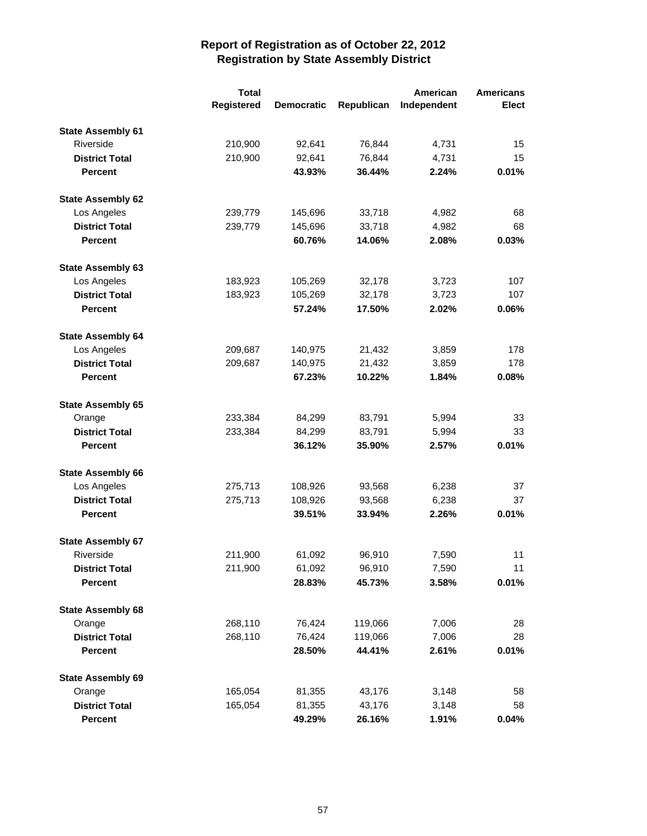|                          | <b>Total</b> |                   |            | American    | <b>Americans</b> |
|--------------------------|--------------|-------------------|------------|-------------|------------------|
|                          | Registered   | <b>Democratic</b> | Republican | Independent | <b>Elect</b>     |
| <b>State Assembly 61</b> |              |                   |            |             |                  |
| Riverside                | 210,900      | 92,641            | 76,844     | 4,731       | 15               |
| <b>District Total</b>    | 210,900      | 92,641            | 76,844     | 4,731       | 15               |
| <b>Percent</b>           |              | 43.93%            | 36.44%     | 2.24%       | 0.01%            |
| <b>State Assembly 62</b> |              |                   |            |             |                  |
| Los Angeles              | 239,779      | 145,696           | 33,718     | 4,982       | 68               |
| <b>District Total</b>    | 239,779      | 145,696           | 33,718     | 4,982       | 68               |
| <b>Percent</b>           |              | 60.76%            | 14.06%     | 2.08%       | 0.03%            |
| <b>State Assembly 63</b> |              |                   |            |             |                  |
| Los Angeles              | 183,923      | 105,269           | 32,178     | 3,723       | 107              |
| <b>District Total</b>    | 183,923      | 105,269           | 32,178     | 3,723       | 107              |
| <b>Percent</b>           |              | 57.24%            | 17.50%     | 2.02%       | 0.06%            |
| <b>State Assembly 64</b> |              |                   |            |             |                  |
| Los Angeles              | 209,687      | 140,975           | 21,432     | 3,859       | 178              |
| <b>District Total</b>    | 209,687      | 140,975           | 21,432     | 3,859       | 178              |
| <b>Percent</b>           |              | 67.23%            | 10.22%     | 1.84%       | 0.08%            |
| <b>State Assembly 65</b> |              |                   |            |             |                  |
| Orange                   | 233,384      | 84,299            | 83,791     | 5,994       | 33               |
| <b>District Total</b>    | 233,384      | 84,299            | 83,791     | 5,994       | 33               |
| <b>Percent</b>           |              | 36.12%            | 35.90%     | 2.57%       | 0.01%            |
| <b>State Assembly 66</b> |              |                   |            |             |                  |
| Los Angeles              | 275,713      | 108,926           | 93,568     | 6,238       | 37               |
| <b>District Total</b>    | 275,713      | 108,926           | 93,568     | 6,238       | 37               |
| <b>Percent</b>           |              | 39.51%            | 33.94%     | 2.26%       | 0.01%            |
| <b>State Assembly 67</b> |              |                   |            |             |                  |
| Riverside                | 211,900      | 61,092            | 96,910     | 7,590       | 11               |
| <b>District Total</b>    | 211,900      | 61,092            | 96,910     | 7,590       | 11               |
| Percent                  |              | 28.83%            | 45.73%     | 3.58%       | 0.01%            |
| <b>State Assembly 68</b> |              |                   |            |             |                  |
| Orange                   | 268,110      | 76,424            | 119,066    | 7,006       | 28               |
| <b>District Total</b>    | 268,110      | 76,424            | 119,066    | 7,006       | 28               |
| <b>Percent</b>           |              | 28.50%            | 44.41%     | 2.61%       | 0.01%            |
| <b>State Assembly 69</b> |              |                   |            |             |                  |
| Orange                   | 165,054      | 81,355            | 43,176     | 3,148       | 58               |
| <b>District Total</b>    | 165,054      | 81,355            | 43,176     | 3,148       | 58               |
| Percent                  |              | 49.29%            | 26.16%     | 1.91%       | 0.04%            |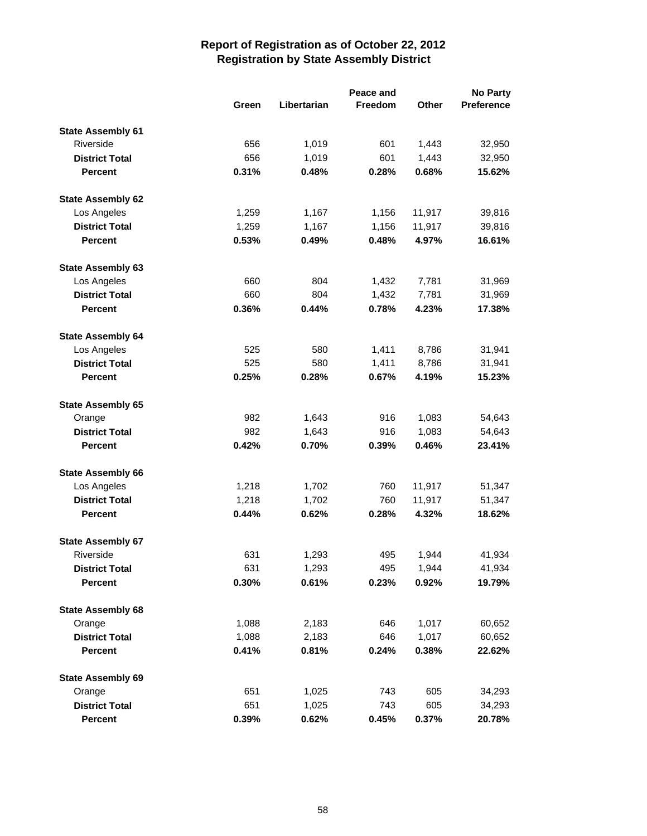|                          |       |             |         | <b>No Party</b> |                   |
|--------------------------|-------|-------------|---------|-----------------|-------------------|
|                          | Green | Libertarian | Freedom | Other           | <b>Preference</b> |
| <b>State Assembly 61</b> |       |             |         |                 |                   |
| Riverside                | 656   | 1,019       | 601     | 1,443           | 32,950            |
| <b>District Total</b>    | 656   | 1,019       | 601     | 1,443           | 32,950            |
| <b>Percent</b>           | 0.31% | 0.48%       | 0.28%   | 0.68%           | 15.62%            |
| <b>State Assembly 62</b> |       |             |         |                 |                   |
| Los Angeles              | 1,259 | 1,167       | 1,156   | 11,917          | 39,816            |
| <b>District Total</b>    | 1,259 | 1,167       | 1,156   | 11,917          | 39,816            |
| <b>Percent</b>           | 0.53% | 0.49%       | 0.48%   | 4.97%           | 16.61%            |
| <b>State Assembly 63</b> |       |             |         |                 |                   |
| Los Angeles              | 660   | 804         | 1,432   | 7,781           | 31,969            |
| <b>District Total</b>    | 660   | 804         | 1,432   | 7,781           | 31,969            |
| <b>Percent</b>           | 0.36% | 0.44%       | 0.78%   | 4.23%           | 17.38%            |
| <b>State Assembly 64</b> |       |             |         |                 |                   |
| Los Angeles              | 525   | 580         | 1,411   | 8,786           | 31,941            |
| <b>District Total</b>    | 525   | 580         | 1,411   | 8,786           | 31,941            |
| <b>Percent</b>           | 0.25% | 0.28%       | 0.67%   | 4.19%           | 15.23%            |
| <b>State Assembly 65</b> |       |             |         |                 |                   |
| Orange                   | 982   | 1,643       | 916     | 1,083           | 54,643            |
| <b>District Total</b>    | 982   | 1,643       | 916     | 1,083           | 54,643            |
| <b>Percent</b>           | 0.42% | 0.70%       | 0.39%   | 0.46%           | 23.41%            |
| <b>State Assembly 66</b> |       |             |         |                 |                   |
| Los Angeles              | 1,218 | 1,702       | 760     | 11,917          | 51,347            |
| <b>District Total</b>    | 1,218 | 1,702       | 760     | 11,917          | 51,347            |
| <b>Percent</b>           | 0.44% | 0.62%       | 0.28%   | 4.32%           | 18.62%            |
| <b>State Assembly 67</b> |       |             |         |                 |                   |
| Riverside                | 631   | 1,293       | 495     | 1,944           | 41,934            |
| <b>District Total</b>    | 631   | 1,293       | 495     | 1,944           | 41,934            |
| <b>Percent</b>           | 0.30% | 0.61%       | 0.23%   | 0.92%           | 19.79%            |
| <b>State Assembly 68</b> |       |             |         |                 |                   |
| Orange                   | 1,088 | 2,183       | 646     | 1,017           | 60,652            |
| <b>District Total</b>    | 1,088 | 2,183       | 646     | 1,017           | 60,652            |
| <b>Percent</b>           | 0.41% | 0.81%       | 0.24%   | 0.38%           | 22.62%            |
| <b>State Assembly 69</b> |       |             |         |                 |                   |
| Orange                   | 651   | 1,025       | 743     | 605             | 34,293            |
| <b>District Total</b>    | 651   | 1,025       | 743     | 605             | 34,293            |
| Percent                  | 0.39% | 0.62%       | 0.45%   | 0.37%           | 20.78%            |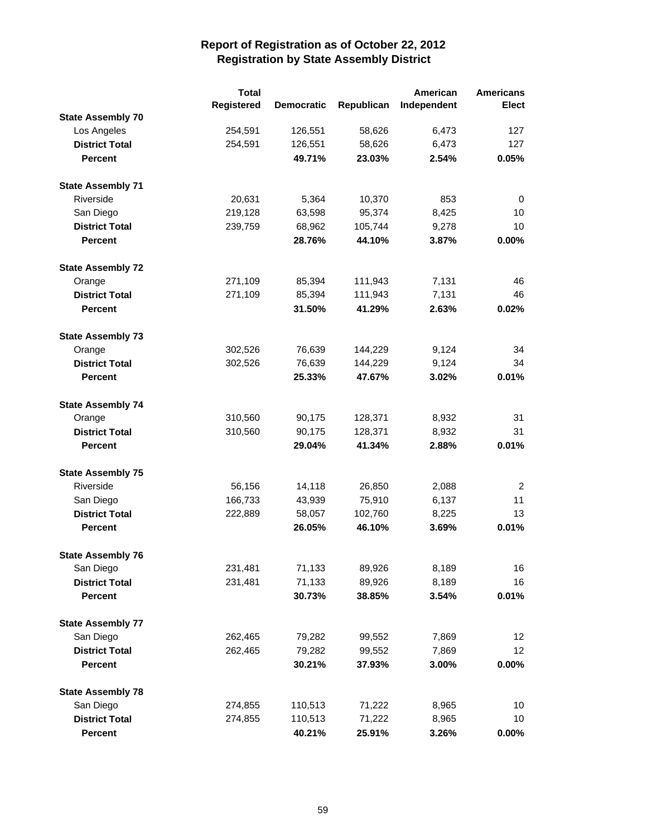|                          | <b>Total</b> |                   |            | American    | <b>Americans</b> |
|--------------------------|--------------|-------------------|------------|-------------|------------------|
|                          | Registered   | <b>Democratic</b> | Republican | Independent | <b>Elect</b>     |
| <b>State Assembly 70</b> |              |                   |            |             |                  |
| Los Angeles              | 254,591      | 126,551           | 58,626     | 6,473       | 127              |
| <b>District Total</b>    | 254,591      | 126,551           | 58,626     | 6,473       | 127              |
| <b>Percent</b>           |              | 49.71%            | 23.03%     | 2.54%       | 0.05%            |
| <b>State Assembly 71</b> |              |                   |            |             |                  |
| Riverside                | 20,631       | 5,364             | 10,370     | 853         | 0                |
| San Diego                | 219,128      | 63,598            | 95,374     | 8,425       | 10               |
| <b>District Total</b>    | 239,759      | 68,962            | 105,744    | 9,278       | 10               |
| <b>Percent</b>           |              | 28.76%            | 44.10%     | 3.87%       | 0.00%            |
| <b>State Assembly 72</b> |              |                   |            |             |                  |
| Orange                   | 271,109      | 85,394            | 111,943    | 7,131       | 46               |
| <b>District Total</b>    | 271,109      | 85,394            | 111,943    | 7,131       | 46               |
| <b>Percent</b>           |              | 31.50%            | 41.29%     | 2.63%       | 0.02%            |
| <b>State Assembly 73</b> |              |                   |            |             |                  |
| Orange                   | 302,526      | 76,639            | 144,229    | 9,124       | 34               |
| <b>District Total</b>    | 302,526      | 76,639            | 144,229    | 9,124       | 34               |
| <b>Percent</b>           |              | 25.33%            | 47.67%     | 3.02%       | 0.01%            |
| <b>State Assembly 74</b> |              |                   |            |             |                  |
| Orange                   | 310,560      | 90,175            | 128,371    | 8,932       | 31               |
| <b>District Total</b>    | 310,560      | 90,175            | 128,371    | 8,932       | 31               |
| <b>Percent</b>           |              | 29.04%            | 41.34%     | 2.88%       | 0.01%            |
| <b>State Assembly 75</b> |              |                   |            |             |                  |
| Riverside                | 56,156       | 14,118            | 26,850     | 2,088       | $\overline{2}$   |
| San Diego                | 166,733      | 43,939            | 75,910     | 6,137       | 11               |
| <b>District Total</b>    | 222,889      | 58,057            | 102,760    | 8,225       | 13               |
| <b>Percent</b>           |              | 26.05%            | 46.10%     | 3.69%       | 0.01%            |
| <b>State Assembly 76</b> |              |                   |            |             |                  |
| San Diego                | 231,481      | 71,133            | 89,926     | 8,189       | 16               |
| <b>District Total</b>    | 231,481      | 71,133            | 89,926     | 8,189       | 16               |
| <b>Percent</b>           |              | 30.73%            | 38.85%     | 3.54%       | 0.01%            |
| <b>State Assembly 77</b> |              |                   |            |             |                  |
| San Diego                | 262,465      | 79,282            | 99,552     | 7,869       | 12 <sub>2</sub>  |
| <b>District Total</b>    | 262,465      | 79,282            | 99,552     | 7,869       | 12 <sub>2</sub>  |
| Percent                  |              | 30.21%            | 37.93%     | 3.00%       | $0.00\%$         |
| <b>State Assembly 78</b> |              |                   |            |             |                  |
| San Diego                | 274,855      | 110,513           | 71,222     | 8,965       | 10               |
| <b>District Total</b>    | 274,855      | 110,513           | 71,222     | 8,965       | 10               |
| <b>Percent</b>           |              | 40.21%            | 25.91%     | 3.26%       | $0.00\%$         |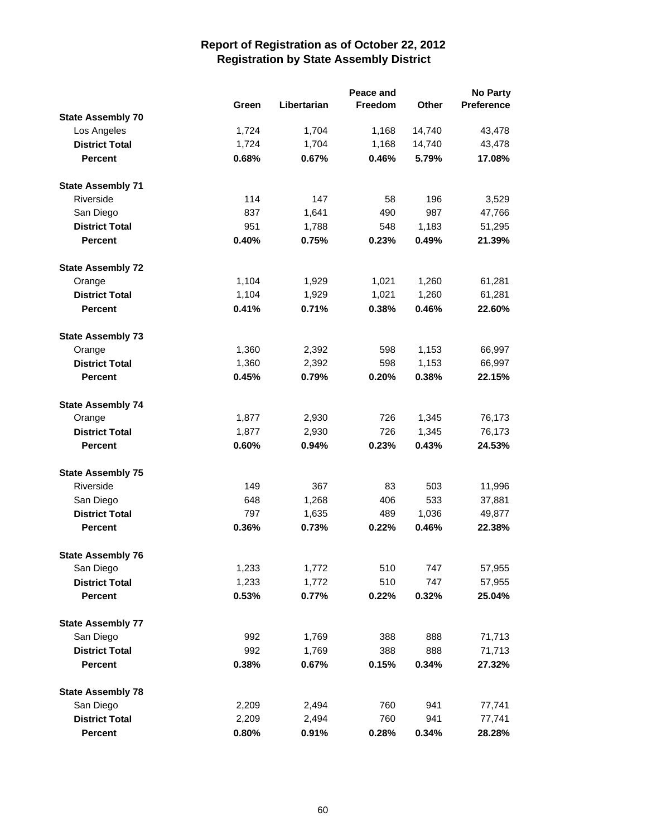|                          |       | Peace and   |         |              |            |
|--------------------------|-------|-------------|---------|--------------|------------|
|                          | Green | Libertarian | Freedom | <b>Other</b> | Preference |
| <b>State Assembly 70</b> |       |             |         |              |            |
| Los Angeles              | 1,724 | 1,704       | 1,168   | 14,740       | 43,478     |
| <b>District Total</b>    | 1,724 | 1,704       | 1,168   | 14,740       | 43,478     |
| <b>Percent</b>           | 0.68% | 0.67%       | 0.46%   | 5.79%        | 17.08%     |
| <b>State Assembly 71</b> |       |             |         |              |            |
| Riverside                | 114   | 147         | 58      | 196          | 3,529      |
| San Diego                | 837   | 1,641       | 490     | 987          | 47,766     |
| <b>District Total</b>    | 951   | 1,788       | 548     | 1,183        | 51,295     |
| <b>Percent</b>           | 0.40% | 0.75%       | 0.23%   | 0.49%        | 21.39%     |
| <b>State Assembly 72</b> |       |             |         |              |            |
| Orange                   | 1,104 | 1,929       | 1,021   | 1,260        | 61,281     |
| <b>District Total</b>    | 1,104 | 1,929       | 1,021   | 1,260        | 61,281     |
| <b>Percent</b>           | 0.41% | 0.71%       | 0.38%   | 0.46%        | 22.60%     |
| <b>State Assembly 73</b> |       |             |         |              |            |
| Orange                   | 1,360 | 2,392       | 598     | 1,153        | 66,997     |
| <b>District Total</b>    | 1,360 | 2,392       | 598     | 1,153        | 66,997     |
| <b>Percent</b>           | 0.45% | 0.79%       | 0.20%   | 0.38%        | 22.15%     |
| <b>State Assembly 74</b> |       |             |         |              |            |
| Orange                   | 1,877 | 2,930       | 726     | 1,345        | 76,173     |
| <b>District Total</b>    | 1,877 | 2,930       | 726     | 1,345        | 76,173     |
| <b>Percent</b>           | 0.60% | 0.94%       | 0.23%   | 0.43%        | 24.53%     |
| <b>State Assembly 75</b> |       |             |         |              |            |
| Riverside                | 149   | 367         | 83      | 503          | 11,996     |
| San Diego                | 648   | 1,268       | 406     | 533          | 37,881     |
| <b>District Total</b>    | 797   | 1,635       | 489     | 1,036        | 49,877     |
| <b>Percent</b>           | 0.36% | 0.73%       | 0.22%   | 0.46%        | 22.38%     |
| <b>State Assembly 76</b> |       |             |         |              |            |
| San Diego                | 1,233 | 1,772       | 510     | 747          | 57,955     |
| <b>District Total</b>    | 1,233 | 1,772       | 510     | 747          | 57,955     |
| <b>Percent</b>           | 0.53% | 0.77%       | 0.22%   | 0.32%        | 25.04%     |
| <b>State Assembly 77</b> |       |             |         |              |            |
| San Diego                | 992   | 1,769       | 388     | 888          | 71,713     |
| <b>District Total</b>    | 992   | 1,769       | 388     | 888          | 71,713     |
| <b>Percent</b>           | 0.38% | 0.67%       | 0.15%   | 0.34%        | 27.32%     |
| <b>State Assembly 78</b> |       |             |         |              |            |
| San Diego                | 2,209 | 2,494       | 760     | 941          | 77,741     |
| <b>District Total</b>    | 2,209 | 2,494       | 760     | 941          | 77,741     |
| <b>Percent</b>           | 0.80% | 0.91%       | 0.28%   | 0.34%        | 28.28%     |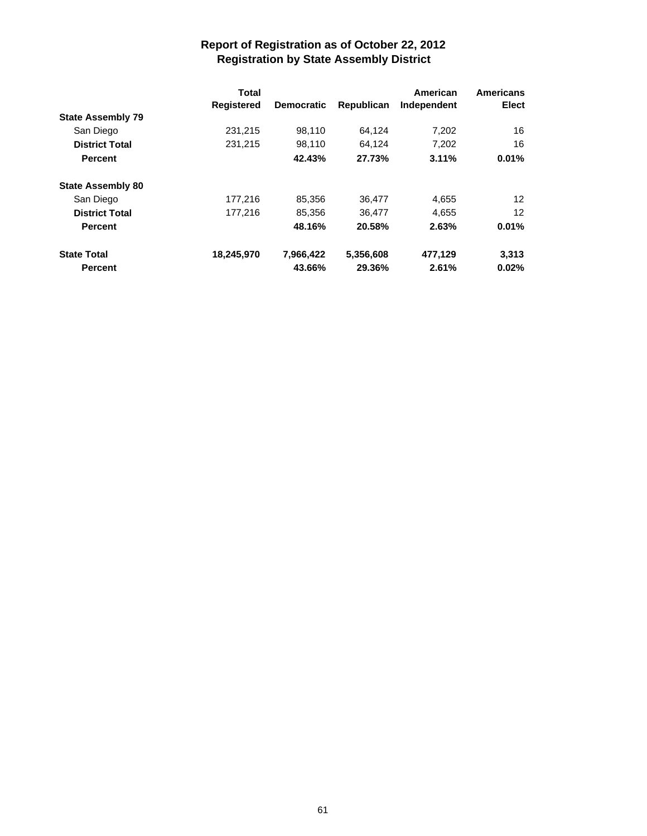|                                       | <b>Total</b><br><b>Registered</b> |                   | Republican | American<br>Independent | <b>Americans</b><br>Elect |
|---------------------------------------|-----------------------------------|-------------------|------------|-------------------------|---------------------------|
|                                       |                                   | <b>Democratic</b> |            |                         |                           |
| <b>State Assembly 79</b><br>San Diego |                                   |                   |            |                         |                           |
|                                       | 231,215                           | 98,110            | 64,124     | 7,202                   | 16                        |
| <b>District Total</b>                 | 231,215                           | 98,110            | 64.124     | 7,202                   | 16                        |
| <b>Percent</b>                        |                                   | 42.43%            | 27.73%     | 3.11%                   | 0.01%                     |
| <b>State Assembly 80</b>              |                                   |                   |            |                         |                           |
| San Diego                             | 177,216                           | 85,356            | 36,477     | 4,655                   | 12                        |
| <b>District Total</b>                 | 177,216                           | 85,356            | 36,477     | 4,655                   | $12 \overline{ }$         |
| <b>Percent</b>                        |                                   | 48.16%            | 20.58%     | 2.63%                   | 0.01%                     |
| <b>State Total</b>                    | 18,245,970                        | 7,966,422         | 5,356,608  | 477,129                 | 3,313                     |
| <b>Percent</b>                        |                                   | 43.66%            | 29.36%     | 2.61%                   | 0.02%                     |